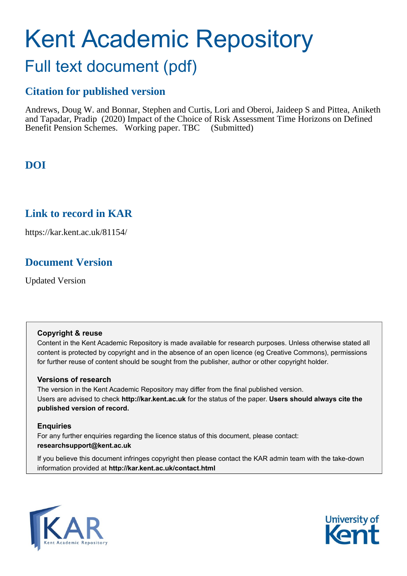# Kent Academic Repository

## Full text document (pdf)

## **Citation for published version**

Andrews, Doug W. and Bonnar, Stephen and Curtis, Lori and Oberoi, Jaideep S and Pittea, Aniketh and Tapadar, Pradip (2020) Impact of the Choice of Risk Assessment Time Horizons on Defined Benefit Pension Schemes. Working paper. TBC (Submitted)

## **DOI**

### **Link to record in KAR**

https://kar.kent.ac.uk/81154/

## **Document Version**

Updated Version

#### **Copyright & reuse**

Content in the Kent Academic Repository is made available for research purposes. Unless otherwise stated all content is protected by copyright and in the absence of an open licence (eg Creative Commons), permissions for further reuse of content should be sought from the publisher, author or other copyright holder.

#### **Versions of research**

The version in the Kent Academic Repository may differ from the final published version. Users are advised to check **http://kar.kent.ac.uk** for the status of the paper. **Users should always cite the published version of record.**

#### **Enquiries**

For any further enquiries regarding the licence status of this document, please contact: **researchsupport@kent.ac.uk**

If you believe this document infringes copyright then please contact the KAR admin team with the take-down information provided at **http://kar.kent.ac.uk/contact.html**



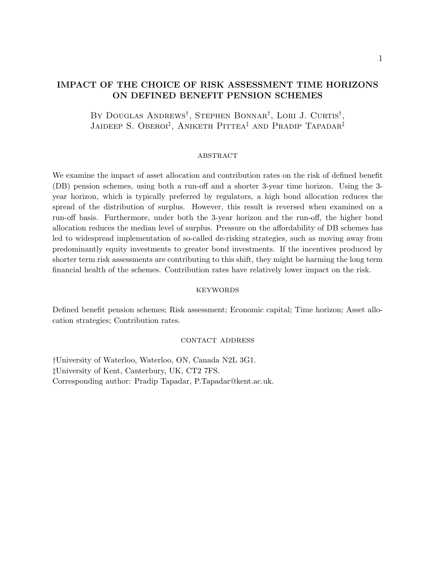#### IMPACT OF THE CHOICE OF RISK ASSESSMENT TIME HORIZONS ON DEFINED BENEFIT PENSION SCHEMES

BY DOUGLAS ANDREWS<sup>†</sup>, STEPHEN BONNAR<sup>†</sup>, LORI J. CURTIS<sup>†</sup>, JAIDEEP S. OBEROI<sup>‡</sup>, ANIKETH PITTEA<sup>‡</sup> AND PRADIP TAPADAR<sup>‡</sup>

#### **ABSTRACT**

We examine the impact of asset allocation and contribution rates on the risk of defined benefit (DB) pension schemes, using both a run-off and a shorter 3-year time horizon. Using the 3 year horizon, which is typically preferred by regulators, a high bond allocation reduces the spread of the distribution of surplus. However, this result is reversed when examined on a run-off basis. Furthermore, under both the 3-year horizon and the run-off, the higher bond allocation reduces the median level of surplus. Pressure on the affordability of DB schemes has led to widespread implementation of so-called de-risking strategies, such as moving away from predominantly equity investments to greater bond investments. If the incentives produced by shorter term risk assessments are contributing to this shift, they might be harming the long term financial health of the schemes. Contribution rates have relatively lower impact on the risk.

#### **KEYWORDS**

Defined benefit pension schemes; Risk assessment; Economic capital; Time horizon; Asset allocation strategies; Contribution rates.

#### contact address

†University of Waterloo, Waterloo, ON, Canada N2L 3G1. ‡University of Kent, Canterbury, UK, CT2 7FS. Corresponding author: Pradip Tapadar, P.Tapadar@kent.ac.uk.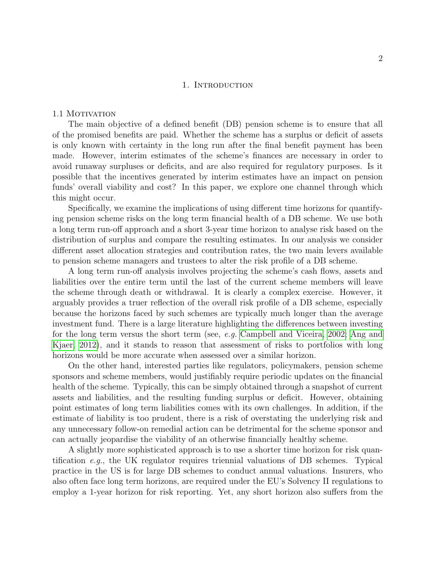#### 1. INTRODUCTION

#### 1.1 MOTIVATION

The main objective of a defined benefit (DB) pension scheme is to ensure that all of the promised benefits are paid. Whether the scheme has a surplus or deficit of assets is only known with certainty in the long run after the final benefit payment has been made. However, interim estimates of the scheme's finances are necessary in order to avoid runaway surpluses or deficits, and are also required for regulatory purposes. Is it possible that the incentives generated by interim estimates have an impact on pension funds' overall viability and cost? In this paper, we explore one channel through which this might occur.

Specifically, we examine the implications of using different time horizons for quantifying pension scheme risks on the long term financial health of a DB scheme. We use both a long term run-off approach and a short 3-year time horizon to analyse risk based on the distribution of surplus and compare the resulting estimates. In our analysis we consider different asset allocation strategies and contribution rates, the two main levers available to pension scheme managers and trustees to alter the risk profile of a DB scheme.

A long term run-off analysis involves projecting the scheme's cash flows, assets and liabilities over the entire term until the last of the current scheme members will leave the scheme through death or withdrawal. It is clearly a complex exercise. However, it arguably provides a truer reflection of the overall risk profile of a DB scheme, especially because the horizons faced by such schemes are typically much longer than the average investment fund. There is a large literature highlighting the differences between investing for the long term versus the short term (see, e.g. Campbell and Viceira, 2002; Ang and Kjaer, 2012), and it stands to reason that assessment of risks to portfolios with long horizons would be more accurate when assessed over a similar horizon.

On the other hand, interested parties like regulators, policymakers, pension scheme sponsors and scheme members, would justifiably require periodic updates on the financial health of the scheme. Typically, this can be simply obtained through a snapshot of current assets and liabilities, and the resulting funding surplus or deficit. However, obtaining point estimates of long term liabilities comes with its own challenges. In addition, if the estimate of liability is too prudent, there is a risk of overstating the underlying risk and any unnecessary follow-on remedial action can be detrimental for the scheme sponsor and can actually jeopardise the viability of an otherwise financially healthy scheme.

A slightly more sophisticated approach is to use a shorter time horizon for risk quantification e.g., the UK regulator requires triennial valuations of DB schemes. Typical practice in the US is for large DB schemes to conduct annual valuations. Insurers, who also often face long term horizons, are required under the EU's Solvency II regulations to employ a 1-year horizon for risk reporting. Yet, any short horizon also suffers from the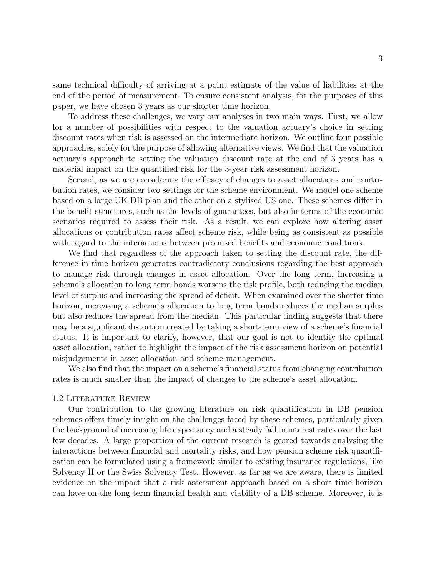same technical difficulty of arriving at a point estimate of the value of liabilities at the end of the period of measurement. To ensure consistent analysis, for the purposes of this paper, we have chosen 3 years as our shorter time horizon.

To address these challenges, we vary our analyses in two main ways. First, we allow for a number of possibilities with respect to the valuation actuary's choice in setting discount rates when risk is assessed on the intermediate horizon. We outline four possible approaches, solely for the purpose of allowing alternative views. We find that the valuation actuary's approach to setting the valuation discount rate at the end of 3 years has a material impact on the quantified risk for the 3-year risk assessment horizon.

Second, as we are considering the efficacy of changes to asset allocations and contribution rates, we consider two settings for the scheme environment. We model one scheme based on a large UK DB plan and the other on a stylised US one. These schemes differ in the benefit structures, such as the levels of guarantees, but also in terms of the economic scenarios required to assess their risk. As a result, we can explore how altering asset allocations or contribution rates affect scheme risk, while being as consistent as possible with regard to the interactions between promised benefits and economic conditions.

We find that regardless of the approach taken to setting the discount rate, the difference in time horizon generates contradictory conclusions regarding the best approach to manage risk through changes in asset allocation. Over the long term, increasing a scheme's allocation to long term bonds worsens the risk profile, both reducing the median level of surplus and increasing the spread of deficit. When examined over the shorter time horizon, increasing a scheme's allocation to long term bonds reduces the median surplus but also reduces the spread from the median. This particular finding suggests that there may be a significant distortion created by taking a short-term view of a scheme's financial status. It is important to clarify, however, that our goal is not to identify the optimal asset allocation, rather to highlight the impact of the risk assessment horizon on potential misjudgements in asset allocation and scheme management.

We also find that the impact on a scheme's financial status from changing contribution rates is much smaller than the impact of changes to the scheme's asset allocation.

#### 1.2 Literature Review

Our contribution to the growing literature on risk quantification in DB pension schemes offers timely insight on the challenges faced by these schemes, particularly given the background of increasing life expectancy and a steady fall in interest rates over the last few decades. A large proportion of the current research is geared towards analysing the interactions between financial and mortality risks, and how pension scheme risk quantification can be formulated using a framework similar to existing insurance regulations, like Solvency II or the Swiss Solvency Test. However, as far as we are aware, there is limited evidence on the impact that a risk assessment approach based on a short time horizon can have on the long term financial health and viability of a DB scheme. Moreover, it is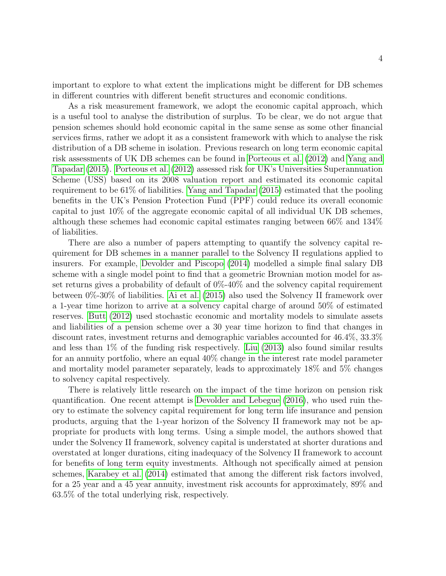important to explore to what extent the implications might be different for DB schemes in different countries with different benefit structures and economic conditions.

As a risk measurement framework, we adopt the economic capital approach, which is a useful tool to analyse the distribution of surplus. To be clear, we do not argue that pension schemes should hold economic capital in the same sense as some other financial services firms, rather we adopt it as a consistent framework with which to analyse the risk distribution of a DB scheme in isolation. Previous research on long term economic capital risk assessments of UK DB schemes can be found in Porteous et al. (2012) and Yang and Tapadar (2015). Porteous et al. (2012) assessed risk for UK's Universities Superannuation Scheme (USS) based on its 2008 valuation report and estimated its economic capital requirement to be 61% of liabilities. Yang and Tapadar (2015) estimated that the pooling benefits in the UK's Pension Protection Fund (PPF) could reduce its overall economic capital to just 10% of the aggregate economic capital of all individual UK DB schemes, although these schemes had economic capital estimates ranging between 66% and 134% of liabilities.

There are also a number of papers attempting to quantify the solvency capital requirement for DB schemes in a manner parallel to the Solvency II regulations applied to insurers. For example, Devolder and Piscopo (2014) modelled a simple final salary DB scheme with a single model point to find that a geometric Brownian motion model for asset returns gives a probability of default of 0%-40% and the solvency capital requirement between 0%-30% of liabilities. Ai et al. (2015) also used the Solvency II framework over a 1-year time horizon to arrive at a solvency capital charge of around 50% of estimated reserves. Butt (2012) used stochastic economic and mortality models to simulate assets and liabilities of a pension scheme over a 30 year time horizon to find that changes in discount rates, investment returns and demographic variables accounted for 46.4%, 33.3% and less than 1% of the funding risk respectively. Liu (2013) also found similar results for an annuity portfolio, where an equal 40% change in the interest rate model parameter and mortality model parameter separately, leads to approximately 18% and 5% changes to solvency capital respectively.

There is relatively little research on the impact of the time horizon on pension risk quantification. One recent attempt is Devolder and Lebegue (2016), who used ruin theory to estimate the solvency capital requirement for long term life insurance and pension products, arguing that the 1-year horizon of the Solvency II framework may not be appropriate for products with long terms. Using a simple model, the authors showed that under the Solvency II framework, solvency capital is understated at shorter durations and overstated at longer durations, citing inadequacy of the Solvency II framework to account for benefits of long term equity investments. Although not specifically aimed at pension schemes, Karabey et al. (2014) estimated that among the different risk factors involved, for a 25 year and a 45 year annuity, investment risk accounts for approximately, 89% and 63.5% of the total underlying risk, respectively.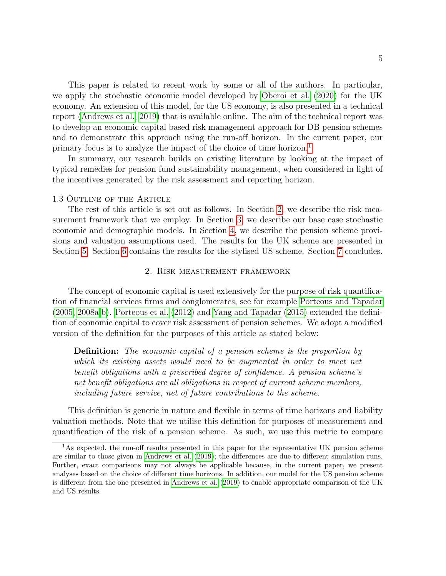This paper is related to recent work by some or all of the authors. In particular, we apply the stochastic economic model developed by Oberoi et al. (2020) for the UK economy. An extension of this model, for the US economy, is also presented in a technical report (Andrews et al., 2019) that is available online. The aim of the technical report was to develop an economic capital based risk management approach for DB pension schemes and to demonstrate this approach using the run-off horizon. In the current paper, our primary focus is to analyze the impact of the choice of time horizon.1

In summary, our research builds on existing literature by looking at the impact of typical remedies for pension fund sustainability management, when considered in light of the incentives generated by the risk assessment and reporting horizon.

#### 1.3 Outline of the Article

The rest of this article is set out as follows. In Section 2, we describe the risk measurement framework that we employ. In Section 3, we describe our base case stochastic economic and demographic models. In Section 4, we describe the pension scheme provisions and valuation assumptions used. The results for the UK scheme are presented in Section 5. Section 6 contains the results for the stylised US scheme. Section 7 concludes.

#### 2. Risk measurement framework

The concept of economic capital is used extensively for the purpose of risk quantification of financial services firms and conglomerates, see for example Porteous and Tapadar (2005, 2008a,b). Porteous et al. (2012) and Yang and Tapadar (2015) extended the definition of economic capital to cover risk assessment of pension schemes. We adopt a modified version of the definition for the purposes of this article as stated below:

**Definition:** The economic capital of a pension scheme is the proportion by which its existing assets would need to be augmented in order to meet net benefit obligations with a prescribed degree of confidence. A pension scheme's net benefit obligations are all obligations in respect of current scheme members, including future service, net of future contributions to the scheme.

This definition is generic in nature and flexible in terms of time horizons and liability valuation methods. Note that we utilise this definition for purposes of measurement and quantification of the risk of a pension scheme. As such, we use this metric to compare

<sup>&</sup>lt;sup>1</sup>As expected, the run-off results presented in this paper for the representative UK pension scheme are similar to those given in Andrews et al. (2019); the differences are due to different simulation runs. Further, exact comparisons may not always be applicable because, in the current paper, we present analyses based on the choice of different time horizons. In addition, our model for the US pension scheme is different from the one presented in Andrews et al. (2019) to enable appropriate comparison of the UK and US results.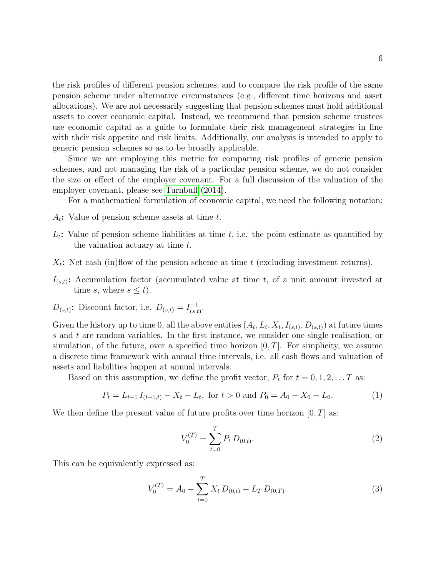the risk profiles of different pension schemes, and to compare the risk profile of the same pension scheme under alternative circumstances (e.g., different time horizons and asset allocations). We are not necessarily suggesting that pension schemes must hold additional assets to cover economic capital. Instead, we recommend that pension scheme trustees use economic capital as a guide to formulate their risk management strategies in line with their risk appetite and risk limits. Additionally, our analysis is intended to apply to generic pension schemes so as to be broadly applicable.

Since we are employing this metric for comparing risk profiles of generic pension schemes, and not managing the risk of a particular pension scheme, we do not consider the size or effect of the employer covenant. For a full discussion of the valuation of the employer covenant, please see Turnbull (2014).

For a mathematical formulation of economic capital, we need the following notation:

- $A_t$ : Value of pension scheme assets at time t.
- $L_t$ : Value of pension scheme liabilities at time t, i.e. the point estimate as quantified by the valuation actuary at time t.
- $X_t$ : Net cash (in)flow of the pension scheme at time t (excluding investment returns).
- $I_{(s,t)}$ : Accumulation factor (accumulated value at time t, of a unit amount invested at time s, where  $s \leq t$ .
- $D_{(s,t)}$ : Discount factor, i.e.  $D_{(s,t)} = I_{(s,t)}^{-1}$  $\frac{(-1)}{(s,t)}.$

Given the history up to time 0, all the above entities  $(A_t, L_t, X_t, I_{(s,t)}, D_{(s,t)})$  at future times s and t are random variables. In the first instance, we consider one single realisation, or simulation, of the future, over a specified time horizon  $[0, T]$ . For simplicity, we assume a discrete time framework with annual time intervals, i.e. all cash flows and valuation of assets and liabilities happen at annual intervals.

Based on this assumption, we define the profit vector,  $P_t$  for  $t = 0, 1, 2, \ldots T$  as:

$$
P_t = L_{t-1} I_{(t-1,t)} - X_t - L_t, \text{ for } t > 0 \text{ and } P_0 = A_0 - X_0 - L_0.
$$
 (1)

We then define the present value of future profits over time horizon  $[0, T]$  as:

 $\sigma$ 

$$
V_0^{(T)} = \sum_{t=0}^{T} P_t D_{(0,t)}.
$$
 (2)

This can be equivalently expressed as:

$$
V_0^{(T)} = A_0 - \sum_{t=0}^{I} X_t D_{(0,t)} - L_T D_{(0,T)}.
$$
\n(3)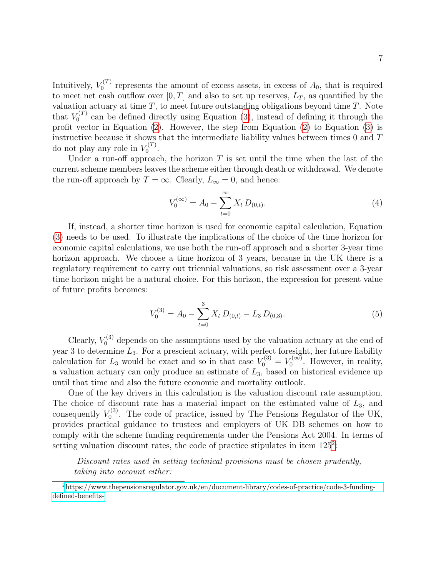Intuitively,  $V_0^{(T)}$  $r_0^{(1)}$  represents the amount of excess assets, in excess of  $A_0$ , that is required to meet net cash outflow over [0, T] and also to set up reserves,  $L_T$ , as quantified by the valuation actuary at time  $T$ , to meet future outstanding obligations beyond time  $T$ . Note that  $V_0^{(T)}$  $C^{(1)}$  can be defined directly using Equation (3), instead of defining it through the profit vector in Equation (2). However, the step from Equation (2) to Equation (3) is instructive because it shows that the intermediate liability values between times 0 and T do not play any role in  $V_0^{(T)}$  $\begin{matrix} 0 & 0 \\ 0 & 0 \end{matrix}$ .

Under a run-off approach, the horizon  $T$  is set until the time when the last of the current scheme members leaves the scheme either through death or withdrawal. We denote the run-off approach by  $T = \infty$ . Clearly,  $L_{\infty} = 0$ , and hence:

$$
V_0^{(\infty)} = A_0 - \sum_{t=0}^{\infty} X_t D_{(0,t)}.
$$
\n(4)

If, instead, a shorter time horizon is used for economic capital calculation, Equation (3) needs to be used. To illustrate the implications of the choice of the time horizon for economic capital calculations, we use both the run-off approach and a shorter 3-year time horizon approach. We choose a time horizon of 3 years, because in the UK there is a regulatory requirement to carry out triennial valuations, so risk assessment over a 3-year time horizon might be a natural choice. For this horizon, the expression for present value of future profits becomes:

$$
V_0^{(3)} = A_0 - \sum_{t=0}^{3} X_t D_{(0,t)} - L_3 D_{(0,3)}.
$$
 (5)

Clearly,  $V_0^{(3)}$  depends on the assumptions used by the valuation actuary at the end of year 3 to determine  $L_3$ . For a prescient actuary, with perfect foresight, her future liability calculation for  $L_3$  would be exact and so in that case  $V_0^{(3)} = V_0^{(\infty)}$  $U_0^{(\infty)}$ . However, in reality, a valuation actuary can only produce an estimate of  $L_3$ , based on historical evidence up until that time and also the future economic and mortality outlook.

One of the key drivers in this calculation is the valuation discount rate assumption. The choice of discount rate has a material impact on the estimated value of  $L_3$ , and consequently  $V_0^{(3)}$  $U_0^{(3)}$ . The code of practice, issued by The Pensions Regulator of the UK, provides practical guidance to trustees and employers of UK DB schemes on how to comply with the scheme funding requirements under the Pensions Act 2004. In terms of setting valuation discount rates, the code of practice stipulates in item  $125<sup>2</sup>$ :

Discount rates used in setting technical provisions must be chosen prudently, taking into account either:

<sup>2</sup>[https://www.thepensionsregulator.gov.uk/en/document-library/codes-of-practice/code-3-funding](https://www.thepensionsregulator.gov.uk/en/document-library/codes-of-practice/code-3-funding-defined-benefits-)[defined-benefits-](https://www.thepensionsregulator.gov.uk/en/document-library/codes-of-practice/code-3-funding-defined-benefits-)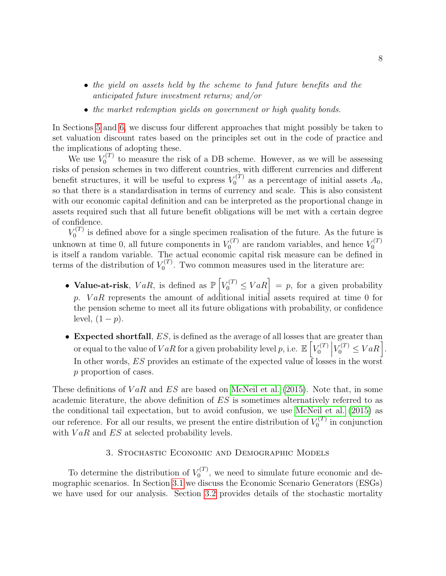- the yield on assets held by the scheme to fund future benefits and the anticipated future investment returns; and/or
- the market redemption yields on government or high quality bonds.

In Sections 5 and 6, we discuss four different approaches that might possibly be taken to set valuation discount rates based on the principles set out in the code of practice and the implications of adopting these.

We use  $V_0^{(T)}$  $t_0^{(1)}$  to measure the risk of a DB scheme. However, as we will be assessing risks of pension schemes in two different countries, with different currencies and different benefit structures, it will be useful to express  $V_0^{(T)}$  $\zeta_0^{(1)}$  as a percentage of initial assets  $A_0$ , so that there is a standardisation in terms of currency and scale. This is also consistent with our economic capital definition and can be interpreted as the proportional change in assets required such that all future benefit obligations will be met with a certain degree of confidence.

 $V_0^{(T)}$  $\sigma_0^{(1)}$  is defined above for a single specimen realisation of the future. As the future is unknown at time 0, all future components in  $V_0^{(T)}$  $V_0^{(T)}$  are random variables, and hence  $V_0^{(T)}$ 0 is itself a random variable. The actual economic capital risk measure can be defined in terms of the distribution of  $V_0^{(T)}$  $v_0^{(1)}$ . Two common measures used in the literature are:

- Value-at-risk,  $VaR$ , is defined as  $\mathbb{P}\left[V_0^{(T)} \leq VaR\right] = p$ , for a given probability p. VaR represents the amount of additional initial assets required at time 0 for the pension scheme to meet all its future obligations with probability, or confidence level,  $(1-p)$ .
- Expected shortfall,  $ES$ , is defined as the average of all losses that are greater than or equal to the value of  $VaR$  for a given probability level  $p$ , i.e.  $\mathbb{E}\left[V_0^{(T)}\right]$  $\begin{bmatrix} T \ 0 \end{bmatrix}$  $V_0^{(T)} \leq VaR$ . In other words, ES provides an estimate of the expected value of losses in the worst p proportion of cases.

These definitions of  $VaR$  and  $ES$  are based on McNeil et al. (2015). Note that, in some academic literature, the above definition of ES is sometimes alternatively referred to as the conditional tail expectation, but to avoid confusion, we use McNeil et al. (2015) as our reference. For all our results, we present the entire distribution of  $V_0^{(T)}$  $\binom{r(1)}{0}$  in conjunction with  $VaR$  and  $ES$  at selected probability levels.

#### 3. Stochastic Economic and Demographic Models

To determine the distribution of  $V_0^{(T)}$  $\sigma_0^{(1)}$ , we need to simulate future economic and demographic scenarios. In Section 3.1 we discuss the Economic Scenario Generators (ESGs) we have used for our analysis. Section 3.2 provides details of the stochastic mortality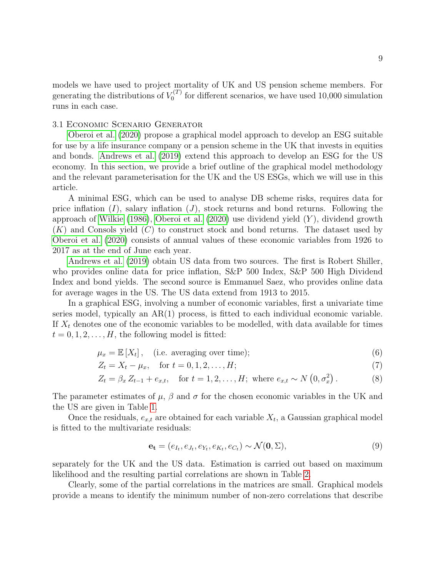models we have used to project mortality of UK and US pension scheme members. For generating the distributions of  $V_0^{(T)}$  $f_0^{(1)}$  for different scenarios, we have used 10,000 simulation runs in each case.

#### 3.1 Economic Scenario Generator

Oberoi et al. (2020) propose a graphical model approach to develop an ESG suitable for use by a life insurance company or a pension scheme in the UK that invests in equities and bonds. Andrews et al. (2019) extend this approach to develop an ESG for the US economy. In this section, we provide a brief outline of the graphical model methodology and the relevant parameterisation for the UK and the US ESGs, which we will use in this article.

A minimal ESG, which can be used to analyse DB scheme risks, requires data for price inflation  $(I)$ , salary inflation  $(J)$ , stock returns and bond returns. Following the approach of Wilkie  $(1986)$ , Oberoi et al.  $(2020)$  use dividend yield  $(Y)$ , dividend growth  $(K)$  and Consols yield  $(C)$  to construct stock and bond returns. The dataset used by Oberoi et al. (2020) consists of annual values of these economic variables from 1926 to 2017 as at the end of June each year.

Andrews et al. (2019) obtain US data from two sources. The first is Robert Shiller, who provides online data for price inflation, S&P 500 Index, S&P 500 High Dividend Index and bond yields. The second source is Emmanuel Saez, who provides online data for average wages in the US. The US data extend from 1913 to 2015.

In a graphical ESG, involving a number of economic variables, first a univariate time series model, typically an  $AR(1)$  process, is fitted to each individual economic variable. If  $X_t$  denotes one of the economic variables to be modelled, with data available for times  $t = 0, 1, 2, \ldots, H$ , the following model is fitted:

$$
\mu_x = \mathbb{E}[X_t], \quad \text{(i.e. averaging over time)}; \tag{6}
$$

$$
Z_t = X_t - \mu_x, \quad \text{for } t = 0, 1, 2, \dots, H; \tag{7}
$$

$$
Z_t = \beta_x \, Z_{t-1} + e_{x,t}, \quad \text{for } t = 1, 2, \dots, H; \text{ where } e_{x,t} \sim N(0, \sigma_x^2). \tag{8}
$$

The parameter estimates of  $\mu$ ,  $\beta$  and  $\sigma$  for the chosen economic variables in the UK and the US are given in Table 1.

Once the residuals,  $e_{x,t}$  are obtained for each variable  $X_t$ , a Gaussian graphical model is fitted to the multivariate residuals:

$$
\mathbf{e}_{t} = (e_{I_t}, e_{J_t}, e_{Y_t}, e_{K_t}, e_{C_t}) \sim \mathcal{N}(\mathbf{0}, \Sigma),
$$
\n
$$
(9)
$$

separately for the UK and the US data. Estimation is carried out based on maximum likelihood and the resulting partial correlations are shown in Table 2.

Clearly, some of the partial correlations in the matrices are small. Graphical models provide a means to identify the minimum number of non-zero correlations that describe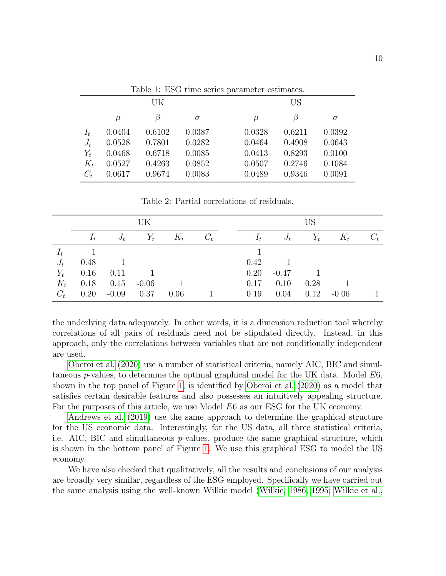|       |        | UK     |        | US     |        |          |  |  |  |
|-------|--------|--------|--------|--------|--------|----------|--|--|--|
|       | $\mu$  |        | σ      | $\mu$  | В      | $\sigma$ |  |  |  |
| $I_t$ | 0.0404 | 0.6102 | 0.0387 | 0.0328 | 0.6211 | 0.0392   |  |  |  |
| $J_t$ | 0.0528 | 0.7801 | 0.0282 | 0.0464 | 0.4908 | 0.0643   |  |  |  |
| $Y_t$ | 0.0468 | 0.6718 | 0.0085 | 0.0413 | 0.8293 | 0.0100   |  |  |  |
| $K_t$ | 0.0527 | 0.4263 | 0.0852 | 0.0507 | 0.2746 | 0.1084   |  |  |  |
| $C_t$ | 0.0617 | 0.9674 | 0.0083 | 0.0489 | 0.9346 | 0.0091   |  |  |  |

Table 1: ESG time series parameter estimates.

Table 2: Partial correlations of residuals.

|       | UK    |         |         |       | US    |       |         |       |         |       |
|-------|-------|---------|---------|-------|-------|-------|---------|-------|---------|-------|
|       | $I_t$ | $J_t$   | $Y_t$   | $K_t$ | $C_t$ | $I_t$ | $J_t$   | $Y_t$ | $K_t$   | $C_t$ |
| $I_t$ |       |         |         |       |       |       |         |       |         |       |
| $J_t$ | 0.48  |         |         |       |       | 0.42  |         |       |         |       |
| $Y_t$ | 0.16  | 0.11    |         |       |       | 0.20  | $-0.47$ |       |         |       |
| $K_t$ | 0.18  | 0.15    | $-0.06$ |       |       | 0.17  | 0.10    | 0.28  |         |       |
| $C_t$ | 0.20  | $-0.09$ | 0.37    | 0.06  |       | 0.19  | 0.04    | 0.12  | $-0.06$ |       |

the underlying data adequately. In other words, it is a dimension reduction tool whereby correlations of all pairs of residuals need not be stipulated directly. Instead, in this approach, only the correlations between variables that are not conditionally independent are used.

Oberoi et al. (2020) use a number of statistical criteria, namely AIC, BIC and simultaneous p-values, to determine the optimal graphical model for the UK data. Model E6, shown in the top panel of Figure 1, is identified by Oberoi et al. (2020) as a model that satisfies certain desirable features and also possesses an intuitively appealing structure. For the purposes of this article, we use Model E6 as our ESG for the UK economy.

Andrews et al. (2019) use the same approach to determine the graphical structure for the US economic data. Interestingly, for the US data, all three statistical criteria, i.e. AIC, BIC and simultaneous p-values, produce the same graphical structure, which is shown in the bottom panel of Figure 1. We use this graphical ESG to model the US economy.

We have also checked that qualitatively, all the results and conclusions of our analysis are broadly very similar, regardless of the ESG employed. Specifically we have carried out the same analysis using the well-known Wilkie model (Wilkie, 1986, 1995; Wilkie et al.,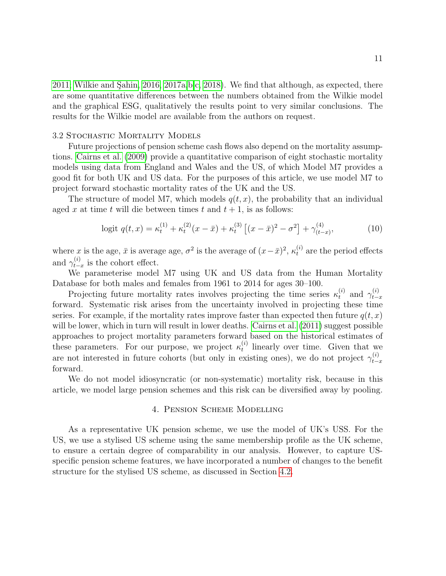$2011$ ; Wilkie and Sahin,  $2016$ ,  $2017a,b,c$ ,  $2018$ ). We find that although, as expected, there are some quantitative differences between the numbers obtained from the Wilkie model and the graphical ESG, qualitatively the results point to very similar conclusions. The results for the Wilkie model are available from the authors on request.

#### 3.2 Stochastic Mortality Models

Future projections of pension scheme cash flows also depend on the mortality assumptions. Cairns et al. (2009) provide a quantitative comparison of eight stochastic mortality models using data from England and Wales and the US, of which Model M7 provides a good fit for both UK and US data. For the purposes of this article, we use model M7 to project forward stochastic mortality rates of the UK and the US.

The structure of model M7, which models  $q(t, x)$ , the probability that an individual aged x at time t will die between times t and  $t + 1$ , is as follows:

$$
\text{logit } q(t, x) = \kappa_t^{(1)} + \kappa_t^{(2)}(x - \bar{x}) + \kappa_t^{(3)} \left[ (x - \bar{x})^2 - \sigma^2 \right] + \gamma_{(t - x)}^{(4)},\tag{10}
$$

where x is the age,  $\bar{x}$  is average age,  $\sigma^2$  is the average of  $(x-\bar{x})^2$ ,  $\kappa_t^{(i)}$  are the period effects and  $\gamma_{t-}^{(i)}$  $_{t-x}^{(i)}$  is the cohort effect.

We parameterise model M7 using UK and US data from the Human Mortality Database for both males and females from 1961 to 2014 for ages 30–100.

Projecting future mortality rates involves projecting the time series  $\kappa_t^{(i)}$  and  $\gamma_{t-}^{(i)}$  $t-x$ forward. Systematic risk arises from the uncertainty involved in projecting these time series. For example, if the mortality rates improve faster than expected then future  $q(t, x)$ will be lower, which in turn will result in lower deaths. Cairns et al.  $(2011)$  suggest possible approaches to project mortality parameters forward based on the historical estimates of these parameters. For our purpose, we project  $\kappa_t^{(i)}$  $t<sup>i</sup>$  linearly over time. Given that we are not interested in future cohorts (but only in existing ones), we do not project  $\gamma_{t-}^{(i)}$ t−x forward.

We do not model idiosyncratic (or non-systematic) mortality risk, because in this article, we model large pension schemes and this risk can be diversified away by pooling.

#### 4. Pension Scheme Modelling

As a representative UK pension scheme, we use the model of UK's USS. For the US, we use a stylised US scheme using the same membership profile as the UK scheme, to ensure a certain degree of comparability in our analysis. However, to capture USspecific pension scheme features, we have incorporated a number of changes to the benefit structure for the stylised US scheme, as discussed in Section 4.2.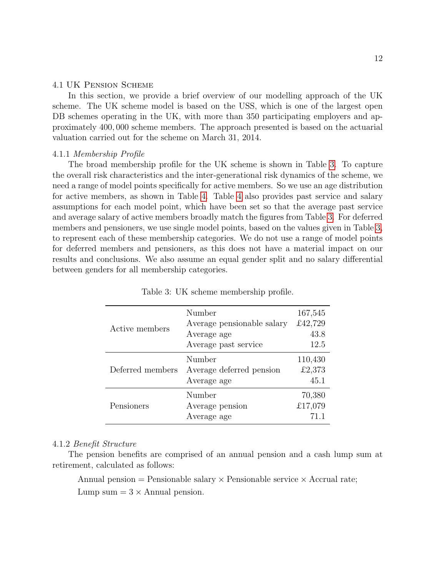#### 4.1 UK Pension Scheme

In this section, we provide a brief overview of our modelling approach of the UK scheme. The UK scheme model is based on the USS, which is one of the largest open DB schemes operating in the UK, with more than 350 participating employers and approximately 400, 000 scheme members. The approach presented is based on the actuarial valuation carried out for the scheme on March 31, 2014.

#### 4.1.1 Membership Profile

The broad membership profile for the UK scheme is shown in Table 3. To capture the overall risk characteristics and the inter-generational risk dynamics of the scheme, we need a range of model points specifically for active members. So we use an age distribution for active members, as shown in Table 4. Table 4 also provides past service and salary assumptions for each model point, which have been set so that the average past service and average salary of active members broadly match the figures from Table 3. For deferred members and pensioners, we use single model points, based on the values given in Table 3, to represent each of these membership categories. We do not use a range of model points for deferred members and pensioners, as this does not have a material impact on our results and conclusions. We also assume an equal gender split and no salary differential between genders for all membership categories.

| Active members   | Number<br>Average pensionable salary<br>Average age<br>Average past service | 167,545<br>£42,729<br>43.8<br>12.5 |
|------------------|-----------------------------------------------------------------------------|------------------------------------|
| Deferred members | Number<br>Average deferred pension<br>Average age                           | 110,430<br>£2,373<br>45.1          |
| Pensioners       | Number<br>Average pension<br>Average age                                    | 70,380<br>£17,079<br>71.1          |

Table 3: UK scheme membership profile.

#### 4.1.2 Benefit Structure

The pension benefits are comprised of an annual pension and a cash lump sum at retirement, calculated as follows:

Annual pension = Pensionable salary  $\times$  Pensionable service  $\times$  Accrual rate; Lump sum  $= 3 \times$  Annual pension.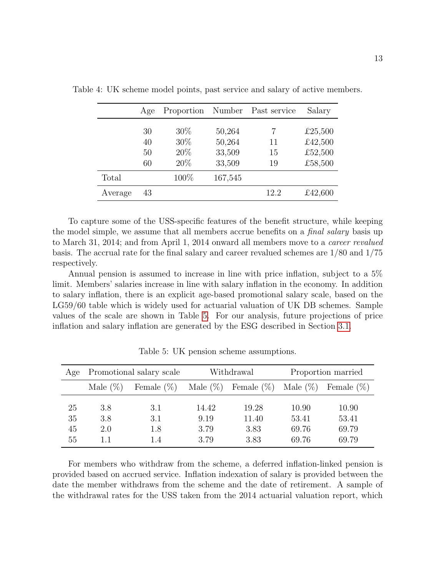|         | Age | Proportion |         | Number Past service | Salary  |
|---------|-----|------------|---------|---------------------|---------|
|         | 30  | $30\%$     | 50,264  |                     | £25,500 |
|         | 40  | 30\%       | 50,264  | 11                  | £42,500 |
|         | 50  | 20%        | 33,509  | 15                  | £52,500 |
|         | 60  | 20%        | 33,509  | 19                  | £58,500 |
| Total   |     | 100\%      | 167,545 |                     |         |
| Average | 43  |            |         | 12.2                | £42,600 |

Table 4: UK scheme model points, past service and salary of active members.

To capture some of the USS-specific features of the benefit structure, while keeping the model simple, we assume that all members accrue benefits on a *final salary* basis up to March 31, 2014; and from April 1, 2014 onward all members move to a career revalued basis. The accrual rate for the final salary and career revalued schemes are 1/80 and 1/75 respectively.

Annual pension is assumed to increase in line with price inflation, subject to a 5% limit. Members' salaries increase in line with salary inflation in the economy. In addition to salary inflation, there is an explicit age-based promotional salary scale, based on the LG59/60 table which is widely used for actuarial valuation of UK DB schemes. Sample values of the scale are shown in Table 5. For our analysis, future projections of price inflation and salary inflation are generated by the ESG described in Section 3.1.

| Age                  |                   | Promotional salary scale |                               | Withdrawal                     | Proportion married               |                                  |  |
|----------------------|-------------------|--------------------------|-------------------------------|--------------------------------|----------------------------------|----------------------------------|--|
|                      | Male $(\%)$       | Female $(\%)$            | Male $(\%)$                   | Female $(\%)$ Male $(\%)$      |                                  | Female $(\%)$                    |  |
| 25<br>35<br>45<br>55 | 3.8<br>3.8<br>2.0 | 3.1<br>3.1<br>1.8<br>1.4 | 14.42<br>9.19<br>3.79<br>3.79 | 19.28<br>11.40<br>3.83<br>3.83 | 10.90<br>53.41<br>69.76<br>69.76 | 10.90<br>53.41<br>69.79<br>69.79 |  |

Table 5: UK pension scheme assumptions.

For members who withdraw from the scheme, a deferred inflation-linked pension is provided based on accrued service. Inflation indexation of salary is provided between the date the member withdraws from the scheme and the date of retirement. A sample of the withdrawal rates for the USS taken from the 2014 actuarial valuation report, which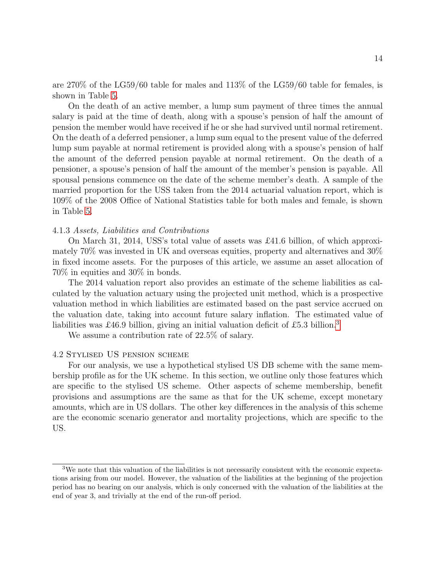are 270% of the LG59/60 table for males and 113% of the LG59/60 table for females, is shown in Table 5.

On the death of an active member, a lump sum payment of three times the annual salary is paid at the time of death, along with a spouse's pension of half the amount of pension the member would have received if he or she had survived until normal retirement. On the death of a deferred pensioner, a lump sum equal to the present value of the deferred lump sum payable at normal retirement is provided along with a spouse's pension of half the amount of the deferred pension payable at normal retirement. On the death of a pensioner, a spouse's pension of half the amount of the member's pension is payable. All spousal pensions commence on the date of the scheme member's death. A sample of the married proportion for the USS taken from the 2014 actuarial valuation report, which is 109% of the 2008 Office of National Statistics table for both males and female, is shown in Table 5.

#### 4.1.3 Assets, Liabilities and Contributions

On March 31, 2014, USS's total value of assets was £41.6 billion, of which approximately 70% was invested in UK and overseas equities, property and alternatives and 30% in fixed income assets. For the purposes of this article, we assume an asset allocation of 70% in equities and 30% in bonds.

The 2014 valuation report also provides an estimate of the scheme liabilities as calculated by the valuation actuary using the projected unit method, which is a prospective valuation method in which liabilities are estimated based on the past service accrued on the valuation date, taking into account future salary inflation. The estimated value of liabilities was £46.9 billion, giving an initial valuation deficit of £5.3 billion.<sup>3</sup>

We assume a contribution rate of 22.5% of salary.

#### 4.2 Stylised US pension scheme

For our analysis, we use a hypothetical stylised US DB scheme with the same membership profile as for the UK scheme. In this section, we outline only those features which are specific to the stylised US scheme. Other aspects of scheme membership, benefit provisions and assumptions are the same as that for the UK scheme, except monetary amounts, which are in US dollars. The other key differences in the analysis of this scheme are the economic scenario generator and mortality projections, which are specific to the US.

<sup>3</sup>We note that this valuation of the liabilities is not necessarily consistent with the economic expectations arising from our model. However, the valuation of the liabilities at the beginning of the projection period has no bearing on our analysis, which is only concerned with the valuation of the liabilities at the end of year 3, and trivially at the end of the run-off period.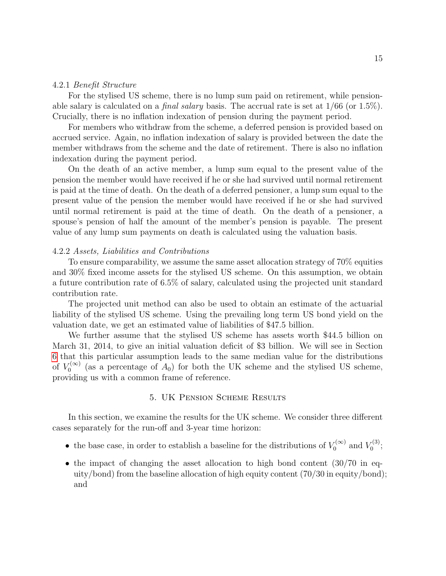#### 4.2.1 Benefit Structure

For the stylised US scheme, there is no lump sum paid on retirement, while pensionable salary is calculated on a *final salary* basis. The accrual rate is set at  $1/66$  (or  $1.5\%$ ). Crucially, there is no inflation indexation of pension during the payment period.

For members who withdraw from the scheme, a deferred pension is provided based on accrued service. Again, no inflation indexation of salary is provided between the date the member withdraws from the scheme and the date of retirement. There is also no inflation indexation during the payment period.

On the death of an active member, a lump sum equal to the present value of the pension the member would have received if he or she had survived until normal retirement is paid at the time of death. On the death of a deferred pensioner, a lump sum equal to the present value of the pension the member would have received if he or she had survived until normal retirement is paid at the time of death. On the death of a pensioner, a spouse's pension of half the amount of the member's pension is payable. The present value of any lump sum payments on death is calculated using the valuation basis.

#### 4.2.2 Assets, Liabilities and Contributions

To ensure comparability, we assume the same asset allocation strategy of 70% equities and 30% fixed income assets for the stylised US scheme. On this assumption, we obtain a future contribution rate of 6.5% of salary, calculated using the projected unit standard contribution rate.

The projected unit method can also be used to obtain an estimate of the actuarial liability of the stylised US scheme. Using the prevailing long term US bond yield on the valuation date, we get an estimated value of liabilities of \$47.5 billion.

We further assume that the stylised US scheme has assets worth \$44.5 billion on March 31, 2014, to give an initial valuation deficit of \$3 billion. We will see in Section 6 that this particular assumption leads to the same median value for the distributions of  $V_0^{(\infty)}$  $U_0^{(\infty)}$  (as a percentage of  $A_0$ ) for both the UK scheme and the stylised US scheme, providing us with a common frame of reference.

#### 5. UK Pension Scheme Results

In this section, we examine the results for the UK scheme. We consider three different cases separately for the run-off and 3-year time horizon:

- the base case, in order to establish a baseline for the distributions of  $V_0^{(\infty)}$  $V_0^{(\infty)}$  and  $V_0^{(3)}$  $_{0}^{\prime\,(3)}$ ;
- the impact of changing the asset allocation to high bond content  $(30/70 \text{ in }$  equity/bond) from the baseline allocation of high equity content (70/30 in equity/bond); and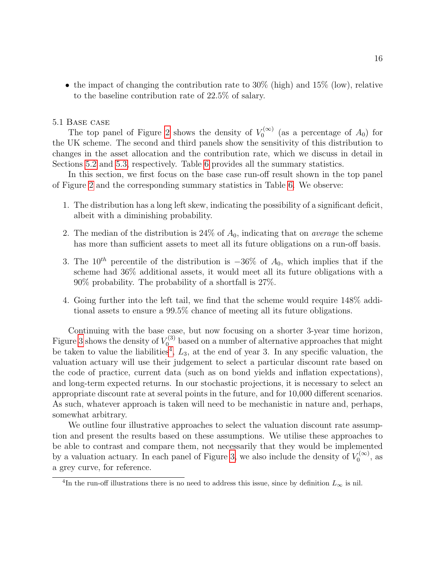• the impact of changing the contribution rate to  $30\%$  (high) and  $15\%$  (low), relative to the baseline contribution rate of 22.5% of salary.

#### 5.1 Base case

The top panel of Figure 2 shows the density of  $V_0^{(\infty)}$  $\binom{7}{0}$  (as a percentage of  $A_0$ ) for the UK scheme. The second and third panels show the sensitivity of this distribution to changes in the asset allocation and the contribution rate, which we discuss in detail in Sections 5.2 and 5.3, respectively. Table 6 provides all the summary statistics.

In this section, we first focus on the base case run-off result shown in the top panel of Figure 2 and the corresponding summary statistics in Table 6. We observe:

- 1. The distribution has a long left skew, indicating the possibility of a significant deficit, albeit with a diminishing probability.
- 2. The median of the distribution is  $24\%$  of  $A_0$ , indicating that on *average* the scheme has more than sufficient assets to meet all its future obligations on a run-off basis.
- 3. The 10<sup>th</sup> percentile of the distribution is  $-36\%$  of  $A_0$ , which implies that if the scheme had 36% additional assets, it would meet all its future obligations with a 90% probability. The probability of a shortfall is 27%.
- 4. Going further into the left tail, we find that the scheme would require 148% additional assets to ensure a 99.5% chance of meeting all its future obligations.

Continuing with the base case, but now focusing on a shorter 3-year time horizon, Figure 3 shows the density of  $V_0^{(3)}$  based on a number of alternative approaches that might be taken to value the liabilities<sup>4</sup>,  $L_3$ , at the end of year 3. In any specific valuation, the valuation actuary will use their judgement to select a particular discount rate based on the code of practice, current data (such as on bond yields and inflation expectations), and long-term expected returns. In our stochastic projections, it is necessary to select an appropriate discount rate at several points in the future, and for 10,000 different scenarios. As such, whatever approach is taken will need to be mechanistic in nature and, perhaps, somewhat arbitrary.

We outline four illustrative approaches to select the valuation discount rate assumption and present the results based on these assumptions. We utilise these approaches to be able to contrast and compare them, not necessarily that they would be implemented by a valuation actuary. In each panel of Figure 3, we also include the density of  $V_0^{(\infty)}$  $\zeta_0^{(\infty)}$ , as a grey curve, for reference.

<sup>&</sup>lt;sup>4</sup>In the run-off illustrations there is no need to address this issue, since by definition  $L_{\infty}$  is nil.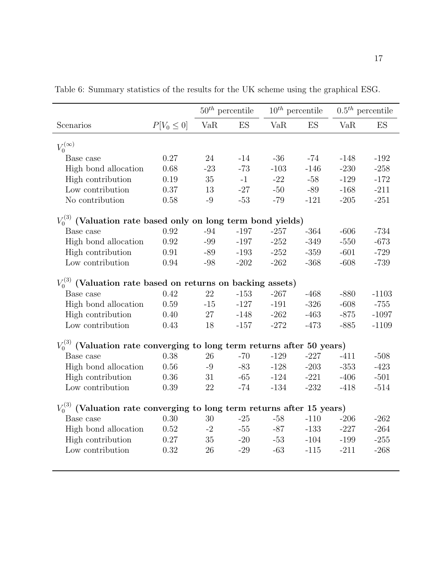|                                                                             |                 | $50^{th}$ percentile |              |        | $10^{th}$ percentile |            | $0.5th$ percentile |  |  |
|-----------------------------------------------------------------------------|-----------------|----------------------|--------------|--------|----------------------|------------|--------------------|--|--|
| Scenarios                                                                   | $P[V_0 \leq 0]$ | VaR                  | ES           | VaR    | ES                   | <b>VaR</b> | ES                 |  |  |
| $V_0^{(\infty)}$                                                            |                 |                      |              |        |                      |            |                    |  |  |
| Base case                                                                   | 0.27            | 24                   | $-14$        | $-36$  | $-74$                | $-148$     | $-192$             |  |  |
| High bond allocation                                                        | 0.68            | $-23$                | $-73$        | $-103$ | $-146$               | $-230$     | $-258$             |  |  |
| High contribution                                                           | 0.19            | 35                   | $-1$         | $-22$  | $-58$                | $-129$     | $-172$             |  |  |
| Low contribution                                                            | 0.37            | 13                   | $-27$        | $-50$  | -89                  | $-168$     | $-211$             |  |  |
| No contribution                                                             | 0.58            | $-9$                 | $\text{-}53$ | $-79$  | $-121$               | $-205$     | $-251$             |  |  |
| $V_0^{(3)}$ (Valuation rate based only on long term bond yields)            |                 |                      |              |        |                      |            |                    |  |  |
| Base case                                                                   | 0.92            | $-94$                | $-197$       | $-257$ | $-364$               | $-606$     | $-734$             |  |  |
| High bond allocation                                                        | 0.92            | $-99$                | $-197$       | $-252$ | $-349$               | $-550$     | $-673$             |  |  |
| High contribution                                                           | 0.91            | -89                  | $-193$       | $-252$ | $-359$               | $-601$     | $-729$             |  |  |
| Low contribution                                                            | 0.94            | $-98$                | $-202$       | $-262$ | $-368$               | $-608$     | $-739$             |  |  |
| $V_0^{(3)}$ (Valuation rate based on returns on backing assets)             |                 |                      |              |        |                      |            |                    |  |  |
| Base case                                                                   | 0.42            | 22                   | $-153$       | $-267$ | $-468$               | $-880$     | $-1103$            |  |  |
| High bond allocation                                                        | 0.59            | $-15$                | $-127$       | $-191$ | $-326$               | $-608$     | $-755$             |  |  |
| High contribution                                                           | 0.40            | 27                   | $-148$       | $-262$ | $-463$               | $-875$     | $-1097$            |  |  |
| Low contribution                                                            | 0.43            | 18                   | $-157$       | $-272$ | $-473$               | $-885$     | $-1109$            |  |  |
| $V_0^{(3)}$ (Valuation rate converging to long term returns after 50 years) |                 |                      |              |        |                      |            |                    |  |  |
| Base case                                                                   | 0.38            | 26                   | $-70$        | $-129$ | $-227$               | $-411$     | $-508$             |  |  |
| High bond allocation                                                        | 0.56            | $-9$                 | $-83$        | $-128$ | $-203$               | $-353$     | $-423$             |  |  |
| High contribution                                                           | 0.36            | 31                   | $-65$        | $-124$ | $-221$               | $-406$     | $-501$             |  |  |
| Low contribution                                                            | 0.39            | 22                   | $-74$        | $-134$ | $-232$               | $-418$     | $-514$             |  |  |
| $V_0^{(3)}$ (Valuation rate converging to long term returns after 15 years) |                 |                      |              |        |                      |            |                    |  |  |
| Base case                                                                   | 0.30            | 30                   | $-25$        | $-58$  | $-110$               | $-206$     | $-262$             |  |  |
|                                                                             | 0.52            | $-2$                 | $-55$        | $-87$  | $-133$               | $-227$     | $-264$             |  |  |
| High bond allocation                                                        | 0.27            | 35                   | $-20$        | $-53$  | $-104$               | $-199$     | $-255$             |  |  |
| High contribution<br>Low contribution                                       | 0.32            | 26                   | $-29$        | $-63$  | $-115$               | $-211$     | $-268$             |  |  |
|                                                                             |                 |                      |              |        |                      |            |                    |  |  |

Table 6: Summary statistics of the results for the UK scheme using the graphical ESG.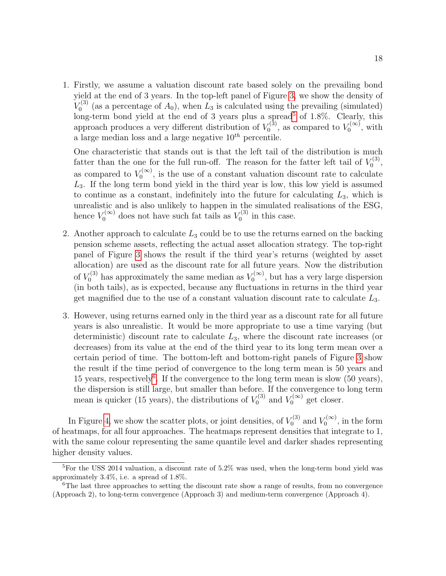1. Firstly, we assume a valuation discount rate based solely on the prevailing bond yield at the end of 3 years. In the top-left panel of Figure 3, we show the density of  $V_0^{(3)}$  $U_0^{(3)}$  (as a percentage of  $A_0$ ), when  $L_3$  is calculated using the prevailing (simulated) long-term bond yield at the end of 3 years plus a spread<sup>5</sup> of 1.8%. Clearly, this approach produces a very different distribution of  $V_0^{(3)}$  $V_0^{(3)}$ , as compared to  $V_0^{(\infty)}$  $\mathcal{L}_0^{(\infty)}$ , with a large median loss and a large negative  $10^{th}$  percentile.

One characteristic that stands out is that the left tail of the distribution is much fatter than the one for the full run-off. The reason for the fatter left tail of  $V_0^{(3)}$ r(3)<br>0, as compared to  $V_0^{(\infty)}$  $\mathcal{O}_0^{(\infty)}$ , is the use of a constant valuation discount rate to calculate  $L<sub>3</sub>$ . If the long term bond yield in the third year is low, this low yield is assumed to continue as a constant, indefinitely into the future for calculating  $L_3$ , which is unrealistic and is also unlikely to happen in the simulated realisations of the ESG, hence  $V_0^{(\infty)}$  does not have such fat tails as  $V_0^{(3)}$  $v_0^{(3)}$  in this case.

- 2. Another approach to calculate  $L_3$  could be to use the returns earned on the backing pension scheme assets, reflecting the actual asset allocation strategy. The top-right panel of Figure 3 shows the result if the third year's returns (weighted by asset allocation) are used as the discount rate for all future years. Now the distribution of  $V_0^{(3)}$  has approximately the same median as  $V_0^{(\infty)}$  $\binom{1}{0}$ , but has a very large dispersion (in both tails), as is expected, because any fluctuations in returns in the third year get magnified due to the use of a constant valuation discount rate to calculate  $L_3$ .
- 3. However, using returns earned only in the third year as a discount rate for all future years is also unrealistic. It would be more appropriate to use a time varying (but deterministic) discount rate to calculate  $L_3$ , where the discount rate increases (or decreases) from its value at the end of the third year to its long term mean over a certain period of time. The bottom-left and bottom-right panels of Figure 3 show the result if the time period of convergence to the long term mean is 50 years and 15 years, respectively<sup>6</sup>. If the convergence to the long term mean is slow  $(50 \text{ years})$ , the dispersion is still large, but smaller than before. If the convergence to long term mean is quicker (15 years), the distributions of  $V_0^{(3)}$  $V_0^{(3)}$  and  $V_0^{(\infty)}$  $\int_0^{\pi(\infty)}$  get closer.

In Figure 4, we show the scatter plots, or joint densities, of  $V_0^{(3)}$  $V_0^{(3)}$  and  $V_0^{(\infty)}$  $\mathcal{O}^{(\infty)}$ , in the form of heatmaps, for all four approaches. The heatmaps represent densities that integrate to 1, with the same colour representing the same quantile level and darker shades representing higher density values.

<sup>5</sup>For the USS 2014 valuation, a discount rate of 5.2% was used, when the long-term bond yield was approximately 3.4%, i.e. a spread of 1.8%.

 $6$ The last three approaches to setting the discount rate show a range of results, from no convergence (Approach 2), to long-term convergence (Approach 3) and medium-term convergence (Approach 4).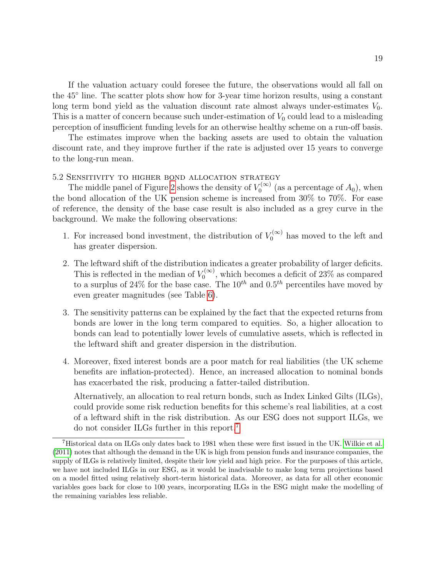If the valuation actuary could foresee the future, the observations would all fall on the 45◦ line. The scatter plots show how for 3-year time horizon results, using a constant long term bond yield as the valuation discount rate almost always under-estimates  $V_0$ . This is a matter of concern because such under-estimation of  $V_0$  could lead to a misleading perception of insufficient funding levels for an otherwise healthy scheme on a run-off basis.

The estimates improve when the backing assets are used to obtain the valuation discount rate, and they improve further if the rate is adjusted over 15 years to converge to the long-run mean.

#### 5.2 Sensitivity to higher bond allocation strategy

The middle panel of Figure 2 shows the density of  $V_0^{(\infty)}$  $\mathcal{O}_0^{(\infty)}$  (as a percentage of  $A_0$ ), when the bond allocation of the UK pension scheme is increased from 30% to 70%. For ease of reference, the density of the base case result is also included as a grey curve in the background. We make the following observations:

- 1. For increased bond investment, the distribution of  $V_0^{(\infty)}$  has moved to the left and has greater dispersion.
- 2. The leftward shift of the distribution indicates a greater probability of larger deficits. This is reflected in the median of  $V_0^{(\infty)}$  $U_0^{(\infty)}$ , which becomes a deficit of 23% as compared to a surplus of 24% for the base case. The  $10^{th}$  and  $0.5^{th}$  percentiles have moved by even greater magnitudes (see Table 6).
- 3. The sensitivity patterns can be explained by the fact that the expected returns from bonds are lower in the long term compared to equities. So, a higher allocation to bonds can lead to potentially lower levels of cumulative assets, which is reflected in the leftward shift and greater dispersion in the distribution.
- 4. Moreover, fixed interest bonds are a poor match for real liabilities (the UK scheme benefits are inflation-protected). Hence, an increased allocation to nominal bonds has exacerbated the risk, producing a fatter-tailed distribution.

Alternatively, an allocation to real return bonds, such as Index Linked Gilts (ILGs), could provide some risk reduction benefits for this scheme's real liabilities, at a cost of a leftward shift in the risk distribution. As our ESG does not support ILGs, we do not consider ILGs further in this report.7

<sup>7</sup>Historical data on ILGs only dates back to 1981 when these were first issued in the UK. Wilkie et al. (2011) notes that although the demand in the UK is high from pension funds and insurance companies, the supply of ILGs is relatively limited, despite their low yield and high price. For the purposes of this article, we have not included ILGs in our ESG, as it would be inadvisable to make long term projections based on a model fitted using relatively short-term historical data. Moreover, as data for all other economic variables goes back for close to 100 years, incorporating ILGs in the ESG might make the modelling of the remaining variables less reliable.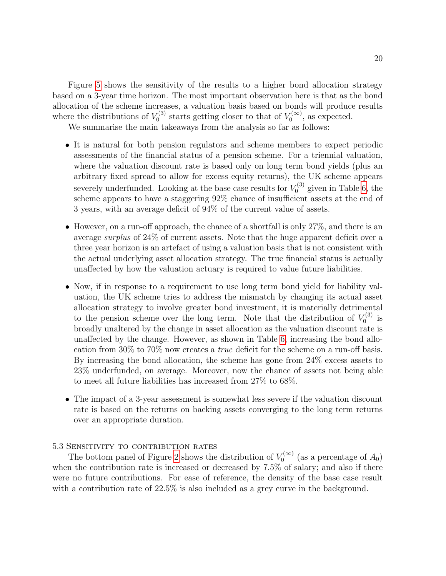Figure 5 shows the sensitivity of the results to a higher bond allocation strategy based on a 3-year time horizon. The most important observation here is that as the bond allocation of the scheme increases, a valuation basis based on bonds will produce results where the distributions of  $V_0^{(3)}$  $V_0^{(3)}$  starts getting closer to that of  $V_0^{(\infty)}$  $\binom{1}{0}$ , as expected.

We summarise the main takeaways from the analysis so far as follows:

- It is natural for both pension regulators and scheme members to expect periodic assessments of the financial status of a pension scheme. For a triennial valuation, where the valuation discount rate is based only on long term bond yields (plus an arbitrary fixed spread to allow for excess equity returns), the UK scheme appears severely underfunded. Looking at the base case results for  $V_0^{(3)}$  $v_0^{(3)}$  given in Table 6, the scheme appears to have a staggering 92% chance of insufficient assets at the end of 3 years, with an average deficit of 94% of the current value of assets.
- However, on a run-off approach, the chance of a shortfall is only 27%, and there is an average surplus of 24% of current assets. Note that the huge apparent deficit over a three year horizon is an artefact of using a valuation basis that is not consistent with the actual underlying asset allocation strategy. The true financial status is actually unaffected by how the valuation actuary is required to value future liabilities.
- Now, if in response to a requirement to use long term bond yield for liability valuation, the UK scheme tries to address the mismatch by changing its actual asset allocation strategy to involve greater bond investment, it is materially detrimental to the pension scheme over the long term. Note that the distribution of  $V_0^{(3)}$  $\int_0^{\tau(3)}$  is broadly unaltered by the change in asset allocation as the valuation discount rate is unaffected by the change. However, as shown in Table 6, increasing the bond allocation from 30% to 70% now creates a true deficit for the scheme on a run-off basis. By increasing the bond allocation, the scheme has gone from 24% excess assets to 23% underfunded, on average. Moreover, now the chance of assets not being able to meet all future liabilities has increased from 27% to 68%.
- The impact of a 3-year assessment is somewhat less severe if the valuation discount rate is based on the returns on backing assets converging to the long term returns over an appropriate duration.

#### 5.3 Sensitivity to contribution rates

The bottom panel of Figure 2 shows the distribution of  $V_0^{(\infty)}$  $\binom{1}{0}$  (as a percentage of  $A_0$ ) when the contribution rate is increased or decreased by 7.5% of salary; and also if there were no future contributions. For ease of reference, the density of the base case result with a contribution rate of  $22.5\%$  is also included as a grey curve in the background.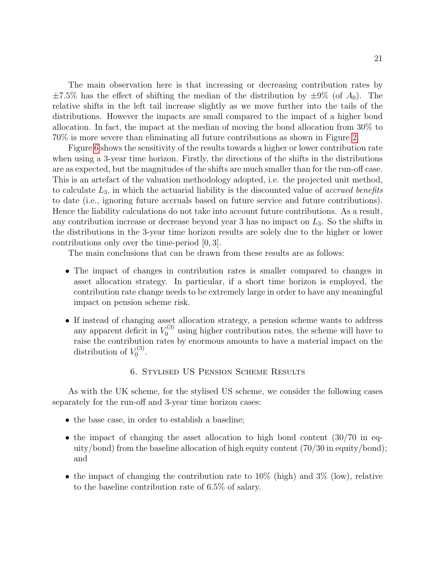The main observation here is that increasing or decreasing contribution rates by  $\pm7.5\%$  has the effect of shifting the median of the distribution by  $\pm9\%$  (of  $A_0$ ). The relative shifts in the left tail increase slightly as we move further into the tails of the distributions. However the impacts are small compared to the impact of a higher bond allocation. In fact, the impact at the median of moving the bond allocation from 30% to 70% is more severe than eliminating all future contributions as shown in Figure 2.

Figure 6 shows the sensitivity of the results towards a higher or lower contribution rate when using a 3-year time horizon. Firstly, the directions of the shifts in the distributions are as expected, but the magnitudes of the shifts are much smaller than for the run-off case. This is an artefact of the valuation methodology adopted, i.e. the projected unit method, to calculate  $L_3$ , in which the actuarial liability is the discounted value of *accrued benefits* to date (i.e., ignoring future accruals based on future service and future contributions). Hence the liability calculations do not take into account future contributions. As a result, any contribution increase or decrease beyond year 3 has no impact on  $L_3$ . So the shifts in the distributions in the 3-year time horizon results are solely due to the higher or lower contributions only over the time-period [0, 3].

The main conclusions that can be drawn from these results are as follows:

- The impact of changes in contribution rates is smaller compared to changes in asset allocation strategy. In particular, if a short time horizon is employed, the contribution rate change needs to be extremely large in order to have any meaningful impact on pension scheme risk.
- If instead of changing asset allocation strategy, a pension scheme wants to address any apparent deficit in  $V_0^{(3)}$  using higher contribution rates, the scheme will have to raise the contribution rates by enormous amounts to have a material impact on the distribution of  $V_0^{(3)}$  $\frac{\sigma(3)}{0}$ .

#### 6. Stylised US Pension Scheme Results

As with the UK scheme, for the stylised US scheme, we consider the following cases separately for the run-off and 3-year time horizon cases:

- the base case, in order to establish a baseline;
- the impact of changing the asset allocation to high bond content (30/70 in equity/bond) from the baseline allocation of high equity content (70/30 in equity/bond); and
- the impact of changing the contribution rate to  $10\%$  (high) and  $3\%$  (low), relative to the baseline contribution rate of 6.5% of salary.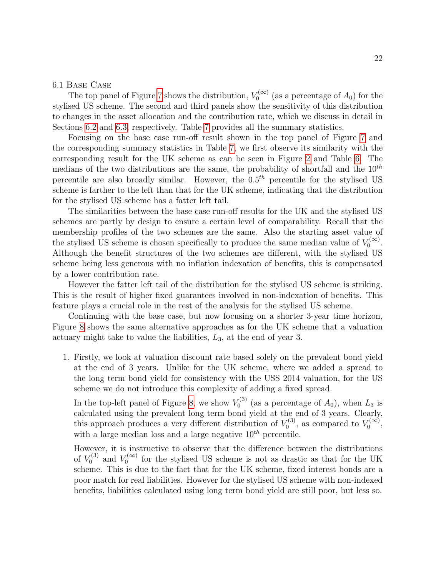#### 6.1 Base Case

The top panel of Figure 7 shows the distribution,  $V_0^{(\infty)}$  $\mathcal{O}_0^{(\infty)}$  (as a percentage of  $A_0$ ) for the stylised US scheme. The second and third panels show the sensitivity of this distribution to changes in the asset allocation and the contribution rate, which we discuss in detail in Sections 6.2 and 6.3, respectively. Table 7 provides all the summary statistics.

Focusing on the base case run-off result shown in the top panel of Figure 7 and the corresponding summary statistics in Table 7, we first observe its similarity with the corresponding result for the UK scheme as can be seen in Figure 2 and Table 6. The medians of the two distributions are the same, the probability of shortfall and the  $10^{th}$ percentile are also broadly similar. However, the  $0.5<sup>th</sup>$  percentile for the stylised US scheme is farther to the left than that for the UK scheme, indicating that the distribution for the stylised US scheme has a fatter left tail.

The similarities between the base case run-off results for the UK and the stylised US schemes are partly by design to ensure a certain level of comparability. Recall that the membership profiles of the two schemes are the same. Also the starting asset value of the stylised US scheme is chosen specifically to produce the same median value of  $V_0^{(\infty)}$  $\begin{matrix} 0 & 0 \\ 0 & 0 \end{matrix}$ . Although the benefit structures of the two schemes are different, with the stylised US scheme being less generous with no inflation indexation of benefits, this is compensated by a lower contribution rate.

However the fatter left tail of the distribution for the stylised US scheme is striking. This is the result of higher fixed guarantees involved in non-indexation of benefits. This feature plays a crucial role in the rest of the analysis for the stylised US scheme.

Continuing with the base case, but now focusing on a shorter 3-year time horizon, Figure 8 shows the same alternative approaches as for the UK scheme that a valuation actuary might take to value the liabilities,  $L_3$ , at the end of year 3.

1. Firstly, we look at valuation discount rate based solely on the prevalent bond yield at the end of 3 years. Unlike for the UK scheme, where we added a spread to the long term bond yield for consistency with the USS 2014 valuation, for the US scheme we do not introduce this complexity of adding a fixed spread.

In the top-left panel of Figure 8, we show  $V_0^{(3)}$  $U_0^{(3)}$  (as a percentage of  $A_0$ ), when  $L_3$  is calculated using the prevalent long term bond yield at the end of 3 years. Clearly, this approach produces a very different distribution of  $V_0^{(3)}$  $V_0^{(3)}$ , as compared to  $V_0^{(\infty)}$  $\begin{matrix} 0 & 0 \ 0 & 0 \end{matrix}$ with a large median loss and a large negative  $10^{th}$  percentile.

However, it is instructive to observe that the difference between the distributions of  $V_0^{(3)}$  $V_0^{(3)}$  and  $V_0^{(\infty)}$  $\sigma_0^{\text{(0)}}$  for the stylised US scheme is not as drastic as that for the UK scheme. This is due to the fact that for the UK scheme, fixed interest bonds are a poor match for real liabilities. However for the stylised US scheme with non-indexed benefits, liabilities calculated using long term bond yield are still poor, but less so.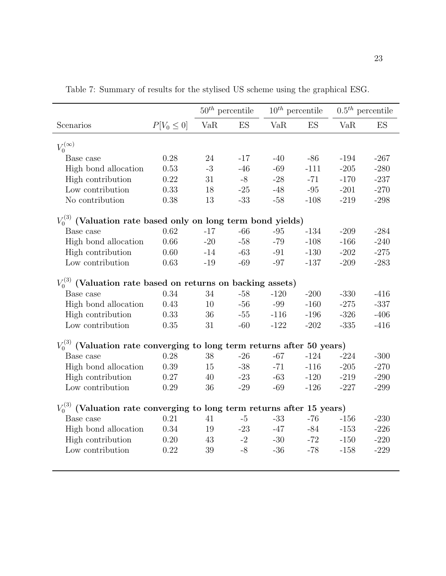|                                                                             |                 | $50^{th}$ percentile |       |        | $10^{th}$ percentile |        | $0.5th$ percentile |
|-----------------------------------------------------------------------------|-----------------|----------------------|-------|--------|----------------------|--------|--------------------|
| Scenarios                                                                   | $P[V_0 \leq 0]$ | VaR                  | ES    | VaR    | ES                   | VaR    | ES                 |
| $V_0^{(\infty)}$                                                            |                 |                      |       |        |                      |        |                    |
| Base case                                                                   | 0.28            | 24                   | $-17$ | $-40$  | $-86$                | $-194$ | $-267$             |
| High bond allocation                                                        | 0.53            | $-3$                 | $-46$ | $-69$  | $-111$               | $-205$ | $-280$             |
| High contribution                                                           | 0.22            | 31                   | $-8$  | $-28$  | $-71$                | $-170$ | $-237$             |
| Low contribution                                                            | 0.33            | $18\,$               | $-25$ | $-48$  | $-95$                | $-201$ | $-270$             |
| No contribution                                                             | 0.38            | 13                   | $-33$ | $-58$  | $-108$               | $-219$ | $-298$             |
|                                                                             |                 |                      |       |        |                      |        |                    |
| $V_0^{(3)}$ (Valuation rate based only on long term bond yields)            |                 |                      |       |        |                      |        |                    |
| Base case                                                                   | 0.62            | $-17$                | $-66$ | $-95$  | $-134$               | $-209$ | $-284$             |
| High bond allocation                                                        | 0.66            | $-20$                | $-58$ | $-79$  | $-108$               | $-166$ | $-240$             |
| High contribution                                                           | $0.60\,$        | $-14$                | $-63$ | $-91$  | $-130$               | $-202$ | $-275$             |
| Low contribution                                                            | 0.63            | $-19$                | $-69$ | $-97$  | $-137$               | $-209$ | $-283$             |
|                                                                             |                 |                      |       |        |                      |        |                    |
| $V_0^{(3)}$ (Valuation rate based on returns on backing assets)             |                 |                      |       |        |                      |        |                    |
| Base case                                                                   | 0.34            | 34                   | $-58$ | $-120$ | $-200$               | $-330$ | $-416$             |
| High bond allocation                                                        | 0.43            | 10                   | $-56$ | -99    | $-160$               | $-275$ | $-337$             |
| High contribution                                                           | 0.33            | 36                   | $-55$ | $-116$ | $-196$               | $-326$ | $-406$             |
| Low contribution                                                            | 0.35            | 31                   | $-60$ | $-122$ | $-202$               | $-335$ | $-416$             |
|                                                                             |                 |                      |       |        |                      |        |                    |
| $V_0^{(3)}$ (Valuation rate converging to long term returns after 50 years) |                 |                      |       |        |                      |        |                    |
| Base case                                                                   | 0.28            | 38                   | $-26$ | $-67$  | $-124$               | $-224$ | $-300$             |
| High bond allocation                                                        | 0.39            | 15                   | $-38$ | $-71$  | $-116$               | $-205$ | $-270$             |
| High contribution                                                           | 0.27            | 40                   | $-23$ | $-63$  | $-120$               | $-219$ | $-290$             |
| Low contribution                                                            | 0.29            | 36                   | $-29$ | $-69$  | $-126$               | $-227$ | $-299$             |
|                                                                             |                 |                      |       |        |                      |        |                    |
| $V_0^{(3)}$ (Valuation rate converging to long term returns after 15 years) |                 |                      |       |        |                      |        |                    |
| Base case                                                                   | 0.21            | 41                   | $-5$  | $-33$  | $-76$                | $-156$ | $-230$             |
| High bond allocation                                                        | 0.34            | 19                   | $-23$ | $-47$  | -84                  | $-153$ | $-226$             |
| High contribution                                                           | 0.20            | 43                   | $-2$  | $-30$  | $-72$                | $-150$ | $-220$             |
| Low contribution                                                            | 0.22            | 39                   | $-8$  | $-36$  | $-78$                | $-158$ | $-229$             |
|                                                                             |                 |                      |       |        |                      |        |                    |

Table 7: Summary of results for the stylised US scheme using the graphical ESG.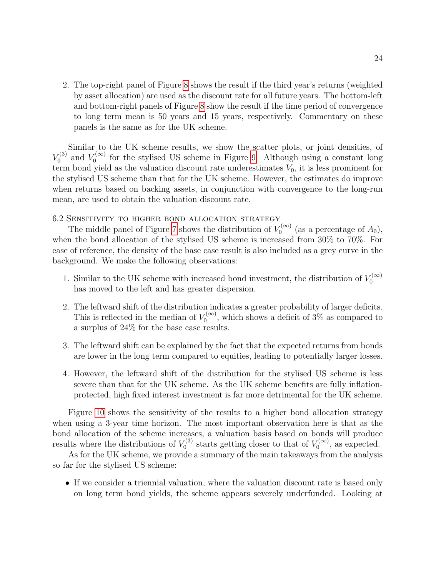2. The top-right panel of Figure 8 shows the result if the third year's returns (weighted by asset allocation) are used as the discount rate for all future years. The bottom-left and bottom-right panels of Figure 8 show the result if the time period of convergence to long term mean is 50 years and 15 years, respectively. Commentary on these panels is the same as for the UK scheme.

Similar to the UK scheme results, we show the scatter plots, or joint densities, of  $V_0^{(3)}$  $V_0^{(3)}$  and  $V_0^{(\infty)}$  $\mathcal{L}_0^{(\infty)}$  for the stylised US scheme in Figure 9. Although using a constant long term bond yield as the valuation discount rate underestimates  $V_0$ , it is less prominent for the stylised US scheme than that for the UK scheme. However, the estimates do improve when returns based on backing assets, in conjunction with convergence to the long-run mean, are used to obtain the valuation discount rate.

6.2 Sensitivity to higher bond allocation strategy

The middle panel of Figure 7 shows the distribution of  $V_0^{(\infty)}$  $\mathcal{O}_0^{(\infty)}$  (as a percentage of  $A_0$ ), when the bond allocation of the stylised US scheme is increased from 30% to 70%. For ease of reference, the density of the base case result is also included as a grey curve in the background. We make the following observations:

- 1. Similar to the UK scheme with increased bond investment, the distribution of  $V_0^{(\infty)}$ 0 has moved to the left and has greater dispersion.
- 2. The leftward shift of the distribution indicates a greater probability of larger deficits. This is reflected in the median of  $V_0^{(\infty)}$  $\sigma_0^{\text{(00)}},$  which shows a deficit of 3% as compared to a surplus of 24% for the base case results.
- 3. The leftward shift can be explained by the fact that the expected returns from bonds are lower in the long term compared to equities, leading to potentially larger losses.
- 4. However, the leftward shift of the distribution for the stylised US scheme is less severe than that for the UK scheme. As the UK scheme benefits are fully inflationprotected, high fixed interest investment is far more detrimental for the UK scheme.

Figure 10 shows the sensitivity of the results to a higher bond allocation strategy when using a 3-year time horizon. The most important observation here is that as the bond allocation of the scheme increases, a valuation basis based on bonds will produce results where the distributions of  $V_0^{(3)}$  $V_0^{(3)}$  starts getting closer to that of  $V_0^{(\infty)}$  $\binom{1}{0}$ , as expected.

As for the UK scheme, we provide a summary of the main takeaways from the analysis so far for the stylised US scheme:

• If we consider a triennial valuation, where the valuation discount rate is based only on long term bond yields, the scheme appears severely underfunded. Looking at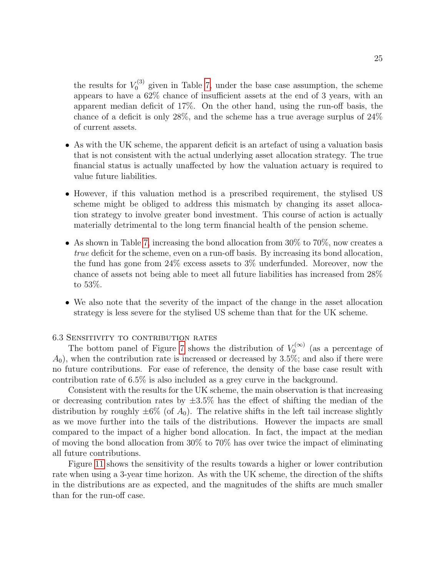the results for  $V_0^{(3)}$  $v_0^{(3)}$  given in Table 7, under the base case assumption, the scheme appears to have a 62% chance of insufficient assets at the end of 3 years, with an apparent median deficit of 17%. On the other hand, using the run-off basis, the chance of a deficit is only 28%, and the scheme has a true average surplus of 24% of current assets.

- As with the UK scheme, the apparent deficit is an artefact of using a valuation basis that is not consistent with the actual underlying asset allocation strategy. The true financial status is actually unaffected by how the valuation actuary is required to value future liabilities.
- However, if this valuation method is a prescribed requirement, the stylised US scheme might be obliged to address this mismatch by changing its asset allocation strategy to involve greater bond investment. This course of action is actually materially detrimental to the long term financial health of the pension scheme.
- As shown in Table 7, increasing the bond allocation from 30% to 70%, now creates a true deficit for the scheme, even on a run-off basis. By increasing its bond allocation, the fund has gone from 24% excess assets to 3% underfunded. Moreover, now the chance of assets not being able to meet all future liabilities has increased from 28% to 53%.
- We also note that the severity of the impact of the change in the asset allocation strategy is less severe for the stylised US scheme than that for the UK scheme.

#### 6.3 Sensitivity to contribution rates

The bottom panel of Figure 7 shows the distribution of  $V_0^{(\infty)}$  $\binom{1}{0}$  (as a percentage of  $A_0$ , when the contribution rate is increased or decreased by 3.5%; and also if there were no future contributions. For ease of reference, the density of the base case result with contribution rate of 6.5% is also included as a grey curve in the background.

Consistent with the results for the UK scheme, the main observation is that increasing or decreasing contribution rates by  $\pm 3.5\%$  has the effect of shifting the median of the distribution by roughly  $\pm 6\%$  (of  $A_0$ ). The relative shifts in the left tail increase slightly as we move further into the tails of the distributions. However the impacts are small compared to the impact of a higher bond allocation. In fact, the impact at the median of moving the bond allocation from 30% to 70% has over twice the impact of eliminating all future contributions.

Figure 11 shows the sensitivity of the results towards a higher or lower contribution rate when using a 3-year time horizon. As with the UK scheme, the direction of the shifts in the distributions are as expected, and the magnitudes of the shifts are much smaller than for the run-off case.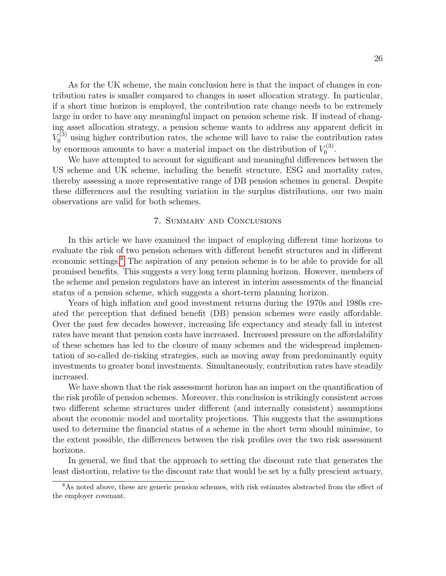As for the UK scheme, the main conclusion here is that the impact of changes in contribution rates is smaller compared to changes in asset allocation strategy. In particular, if a short time horizon is employed, the contribution rate change needs to be extremely large in order to have any meaningful impact on pension scheme risk. If instead of changing asset allocation strategy, a pension scheme wants to address any apparent deficit in  $V_0^{(3)}$  using higher contribution rates, the scheme will have to raise the contribution rates by enormous amounts to have a material impact on the distribution of  $V_0^{(3)}$ r(3)<br>0

We have attempted to account for significant and meaningful differences between the US scheme and UK scheme, including the benefit structure, ESG and mortality rates, thereby assessing a more representative range of DB pension schemes in general. Despite these differences and the resulting variation in the surplus distributions, our two main observations are valid for both schemes.

#### 7. Summary and Conclusions

In this article we have examined the impact of employing different time horizons to evaluate the risk of two pension schemes with different benefit structures and in different economic settings.8 The aspiration of any pension scheme is to be able to provide for all promised benefits. This suggests a very long term planning horizon. However, members of the scheme and pension regulators have an interest in interim assessments of the financial status of a pension scheme, which suggests a short-term planning horizon.

Years of high inflation and good investment returns during the 1970s and 1980s created the perception that defined benefit (DB) pension schemes were easily affordable. Over the past few decades however, increasing life expectancy and steady fall in interest rates have meant that pension costs have increased. Increased pressure on the affordability of these schemes has led to the closure of many schemes and the widespread implementation of so-called de-risking strategies, such as moving away from predominantly equity investments to greater bond investments. Simultaneously, contribution rates have steadily increased.

We have shown that the risk assessment horizon has an impact on the quantification of the risk profile of pension schemes. Moreover, this conclusion is strikingly consistent across two different scheme structures under different (and internally consistent) assumptions about the economic model and mortality projections. This suggests that the assumptions used to determine the financial status of a scheme in the short term should minimise, to the extent possible, the differences between the risk profiles over the two risk assessment horizons.

In general, we find that the approach to setting the discount rate that generates the least distortion, relative to the discount rate that would be set by a fully prescient actuary,

<sup>&</sup>lt;sup>8</sup>As noted above, these are generic pension schemes, with risk estimates abstracted from the effect of the employer covenant.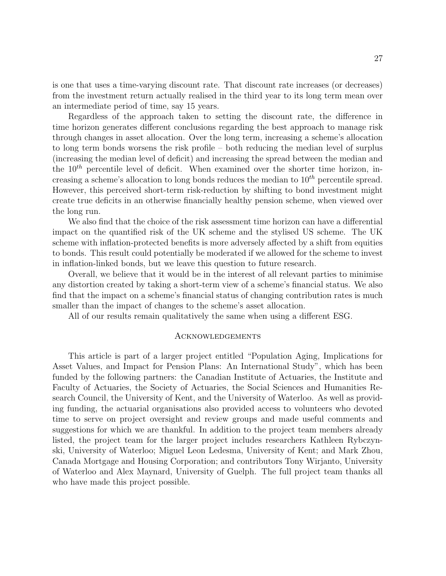is one that uses a time-varying discount rate. That discount rate increases (or decreases) from the investment return actually realised in the third year to its long term mean over an intermediate period of time, say 15 years.

Regardless of the approach taken to setting the discount rate, the difference in time horizon generates different conclusions regarding the best approach to manage risk through changes in asset allocation. Over the long term, increasing a scheme's allocation to long term bonds worsens the risk profile – both reducing the median level of surplus (increasing the median level of deficit) and increasing the spread between the median and the  $10<sup>th</sup>$  percentile level of deficit. When examined over the shorter time horizon, increasing a scheme's allocation to long bonds reduces the median to  $10^{th}$  percentile spread. However, this perceived short-term risk-reduction by shifting to bond investment might create true deficits in an otherwise financially healthy pension scheme, when viewed over the long run.

We also find that the choice of the risk assessment time horizon can have a differential impact on the quantified risk of the UK scheme and the stylised US scheme. The UK scheme with inflation-protected benefits is more adversely affected by a shift from equities to bonds. This result could potentially be moderated if we allowed for the scheme to invest in inflation-linked bonds, but we leave this question to future research.

Overall, we believe that it would be in the interest of all relevant parties to minimise any distortion created by taking a short-term view of a scheme's financial status. We also find that the impact on a scheme's financial status of changing contribution rates is much smaller than the impact of changes to the scheme's asset allocation.

All of our results remain qualitatively the same when using a different ESG.

#### Acknowledgements

This article is part of a larger project entitled "Population Aging, Implications for Asset Values, and Impact for Pension Plans: An International Study", which has been funded by the following partners: the Canadian Institute of Actuaries, the Institute and Faculty of Actuaries, the Society of Actuaries, the Social Sciences and Humanities Research Council, the University of Kent, and the University of Waterloo. As well as providing funding, the actuarial organisations also provided access to volunteers who devoted time to serve on project oversight and review groups and made useful comments and suggestions for which we are thankful. In addition to the project team members already listed, the project team for the larger project includes researchers Kathleen Rybczynski, University of Waterloo; Miguel Leon Ledesma, University of Kent; and Mark Zhou, Canada Mortgage and Housing Corporation; and contributors Tony Wirjanto, University of Waterloo and Alex Maynard, University of Guelph. The full project team thanks all who have made this project possible.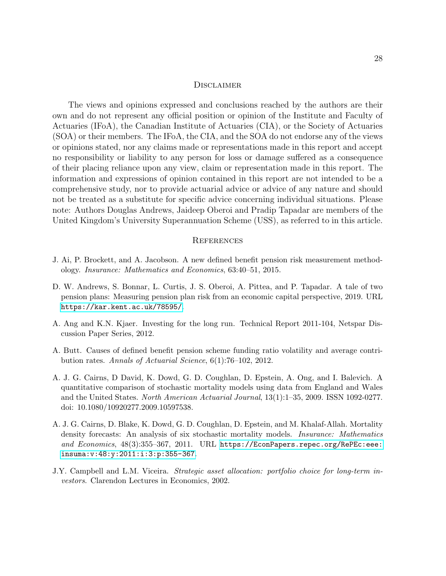#### **DISCLAIMER**

The views and opinions expressed and conclusions reached by the authors are their own and do not represent any official position or opinion of the Institute and Faculty of Actuaries (IFoA), the Canadian Institute of Actuaries (CIA), or the Society of Actuaries (SOA) or their members. The IFoA, the CIA, and the SOA do not endorse any of the views or opinions stated, nor any claims made or representations made in this report and accept no responsibility or liability to any person for loss or damage suffered as a consequence of their placing reliance upon any view, claim or representation made in this report. The information and expressions of opinion contained in this report are not intended to be a comprehensive study, nor to provide actuarial advice or advice of any nature and should not be treated as a substitute for specific advice concerning individual situations. Please note: Authors Douglas Andrews, Jaideep Oberoi and Pradip Tapadar are members of the United Kingdom's University Superannuation Scheme (USS), as referred to in this article.

#### **REFERENCES**

- J. Ai, P. Brockett, and A. Jacobson. A new defined benefit pension risk measurement methodology. Insurance: Mathematics and Economics, 63:40–51, 2015.
- D. W. Andrews, S. Bonnar, L. Curtis, J. S. Oberoi, A. Pittea, and P. Tapadar. A tale of two pension plans: Measuring pension plan risk from an economic capital perspective, 2019. URL <https://kar.kent.ac.uk/78595/>.
- A. Ang and K.N. Kjaer. Investing for the long run. Technical Report 2011-104, Netspar Discussion Paper Series, 2012.
- A. Butt. Causes of defined benefit pension scheme funding ratio volatility and average contribution rates. Annals of Actuarial Science, 6(1):76–102, 2012.
- A. J. G. Cairns, D David, K. Dowd, G. D. Coughlan, D. Epstein, A. Ong, and I. Balevich. A quantitative comparison of stochastic mortality models using data from England and Wales and the United States. North American Actuarial Journal, 13(1):1–35, 2009. ISSN 1092-0277. doi: 10.1080/10920277.2009.10597538.
- A. J. G. Cairns, D. Blake, K. Dowd, G. D. Coughlan, D. Epstein, and M. Khalaf-Allah. Mortality density forecasts: An analysis of six stochastic mortality models. *Insurance: Mathematics* and Economics, 48(3):355–367, 2011. URL [https://EconPapers.repec.org/RePEc:eee:](https://EconPapers.repec.org/RePEc:eee:insuma:v:48:y:2011:i:3:p:355-367) [insuma:v:48:y:2011:i:3:p:355-367](https://EconPapers.repec.org/RePEc:eee:insuma:v:48:y:2011:i:3:p:355-367).
- J.Y. Campbell and L.M. Viceira. Strategic asset allocation: portfolio choice for long-term investors. Clarendon Lectures in Economics, 2002.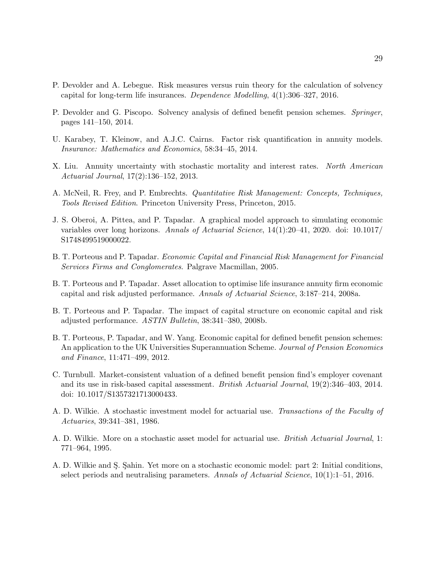- P. Devolder and A. Lebegue. Risk measures versus ruin theory for the calculation of solvency capital for long-term life insurances. Dependence Modelling, 4(1):306–327, 2016.
- P. Devolder and G. Piscopo. Solvency analysis of defined benefit pension schemes. Springer, pages 141–150, 2014.
- U. Karabey, T. Kleinow, and A.J.C. Cairns. Factor risk quantification in annuity models. Insurance: Mathematics and Economics, 58:34–45, 2014.
- X. Liu. Annuity uncertainty with stochastic mortality and interest rates. North American Actuarial Journal, 17(2):136–152, 2013.
- A. McNeil, R. Frey, and P. Embrechts. Quantitative Risk Management: Concepts, Techniques, Tools Revised Edition. Princeton University Press, Princeton, 2015.
- J. S. Oberoi, A. Pittea, and P. Tapadar. A graphical model approach to simulating economic variables over long horizons. Annals of Actuarial Science, 14(1):20–41, 2020. doi: 10.1017/ S1748499519000022.
- B. T. Porteous and P. Tapadar. Economic Capital and Financial Risk Management for Financial Services Firms and Conglomerates. Palgrave Macmillan, 2005.
- B. T. Porteous and P. Tapadar. Asset allocation to optimise life insurance annuity firm economic capital and risk adjusted performance. Annals of Actuarial Science, 3:187–214, 2008a.
- B. T. Porteous and P. Tapadar. The impact of capital structure on economic capital and risk adjusted performance. ASTIN Bulletin, 38:341–380, 2008b.
- B. T. Porteous, P. Tapadar, and W. Yang. Economic capital for defined benefit pension schemes: An application to the UK Universities Superannuation Scheme. Journal of Pension Economics and Finance, 11:471–499, 2012.
- C. Turnbull. Market-consistent valuation of a defined benefit pension find's employer covenant and its use in risk-based capital assessment. British Actuarial Journal, 19(2):346–403, 2014. doi: 10.1017/S1357321713000433.
- A. D. Wilkie. A stochastic investment model for actuarial use. Transactions of the Faculty of Actuaries, 39:341–381, 1986.
- A. D. Wilkie. More on a stochastic asset model for actuarial use. British Actuarial Journal, 1: 771–964, 1995.
- A. D. Wilkie and S. Sahin. Yet more on a stochastic economic model: part 2: Initial conditions, select periods and neutralising parameters. Annals of Actuarial Science, 10(1):1–51, 2016.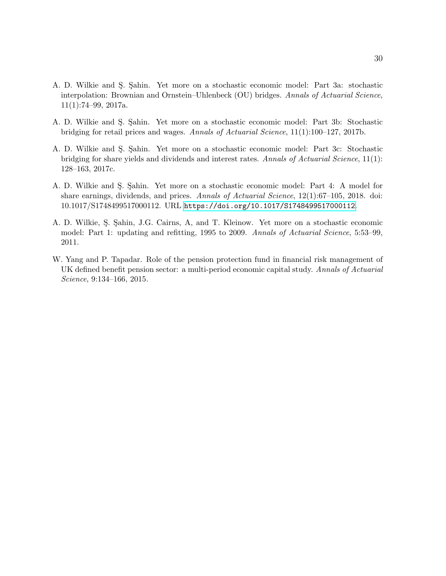- A. D. Wilkie and S. Sahin. Yet more on a stochastic economic model: Part 3a: stochastic interpolation: Brownian and Ornstein–Uhlenbeck (OU) bridges. Annals of Actuarial Science,  $11(1):74-99, 2017a.$
- A. D. Wilkie and S. Sahin. Yet more on a stochastic economic model: Part 3b: Stochastic bridging for retail prices and wages. Annals of Actuarial Science, 11(1):100–127, 2017b.
- A. D. Wilkie and S. Sahin. Yet more on a stochastic economic model: Part 3c: Stochastic bridging for share yields and dividends and interest rates. Annals of Actuarial Science, 11(1): 128–163, 2017c.
- A. D. Wilkie and S. Sahin. Yet more on a stochastic economic model: Part 4: A model for share earnings, dividends, and prices. Annals of Actuarial Science, 12(1):67-105, 2018. doi: 10.1017/S1748499517000112. URL <https://doi.org/10.1017/S1748499517000112>.
- A. D. Wilkie, Ş. Şahin, J.G. Cairns, A, and T. Kleinow. Yet more on a stochastic economic model: Part 1: updating and refitting, 1995 to 2009. Annals of Actuarial Science, 5:53–99, 2011.
- W. Yang and P. Tapadar. Role of the pension protection fund in financial risk management of UK defined benefit pension sector: a multi-period economic capital study. Annals of Actuarial Science, 9:134–166, 2015.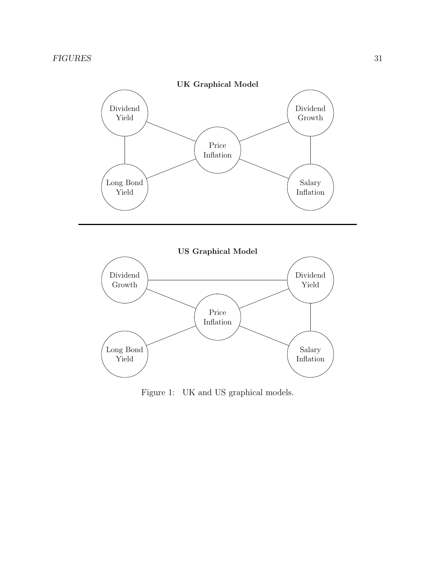



Figure 1: UK and US graphical models.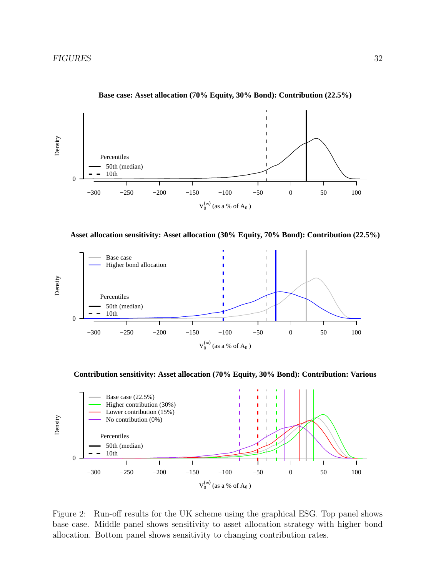

**Base case: Asset allocation (70% Equity, 30% Bond): Contribution (22.5%)**

**Asset allocation sensitivity: Asset allocation (30% Equity, 70% Bond): Contribution (22.5%)**



**Contribution sensitivity: Asset allocation (70% Equity, 30% Bond): Contribution: Various**



Figure 2: Run-off results for the UK scheme using the graphical ESG. Top panel shows base case. Middle panel shows sensitivity to asset allocation strategy with higher bond allocation. Bottom panel shows sensitivity to changing contribution rates.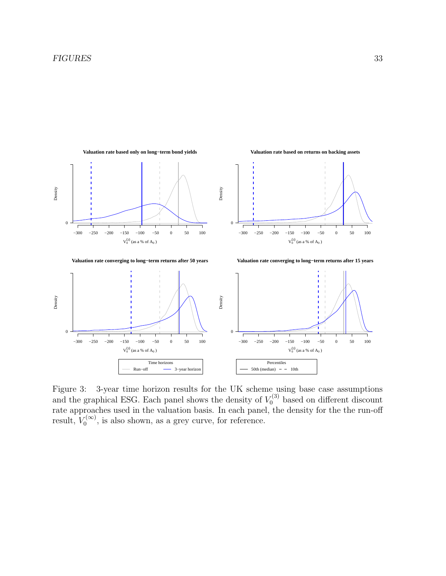

Figure 3: 3-year time horizon results for the UK scheme using base case assumptions and the graphical ESG. Each panel shows the density of  $V_0^{(3)}$  based on different discount rate approaches used in the valuation basis. In each panel, the density for the the run-off result,  $V_0^{(\infty)}$  $\mathcal{O}_0^{\left(\infty\right)}$ , is also shown, as a grey curve, for reference.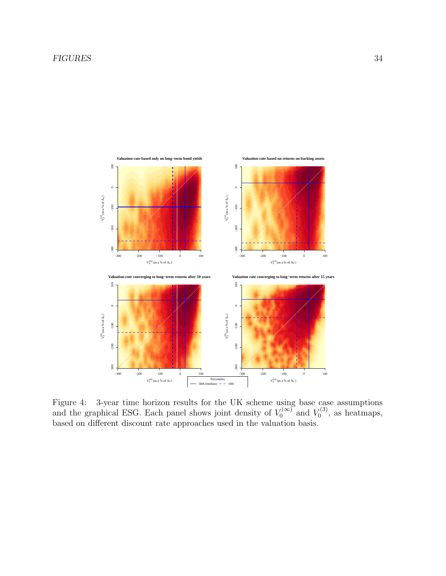#### FIGURES 34



Figure 4: 3-year time horizon results for the UK scheme using base case assumptions and the graphical ESG. Each panel shows joint density of  $V_0^{(\infty)}$  $V_0^{(\infty)}$  and  $V_0^{(3)}$  $\binom{1}{0}$ , as heatmaps, based on different discount rate approaches used in the valuation basis.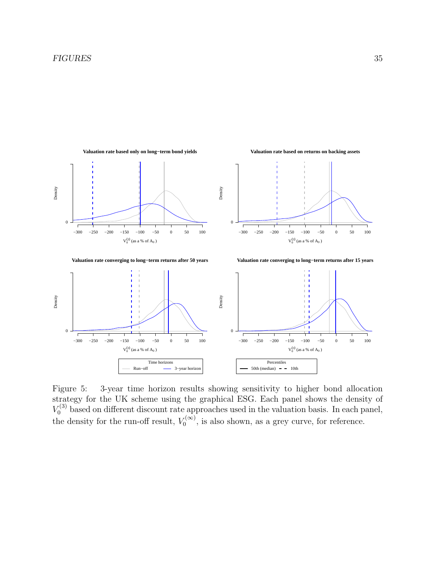

Figure 5: 3-year time horizon results showing sensitivity to higher bond allocation strategy for the UK scheme using the graphical ESG. Each panel shows the density of  $V_0^{(3)}$  based on different discount rate approaches used in the valuation basis. In each panel, the density for the run-off result,  $V_0^{(\infty)}$  $\mathcal{O}_0^{(\infty)}$ , is also shown, as a grey curve, for reference.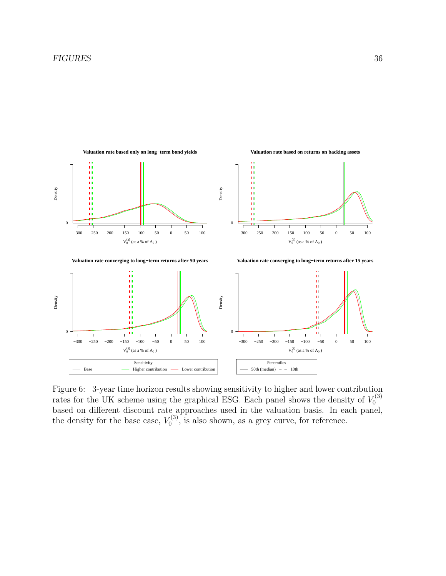

Figure 6: 3-year time horizon results showing sensitivity to higher and lower contribution rates for the UK scheme using the graphical ESG. Each panel shows the density of  $V_0^{(3)}$ 0 based on different discount rate approaches used in the valuation basis. In each panel, the density for the base case,  $V_0^{(3)}$  $v_0^{(3)}$ , is also shown, as a grey curve, for reference.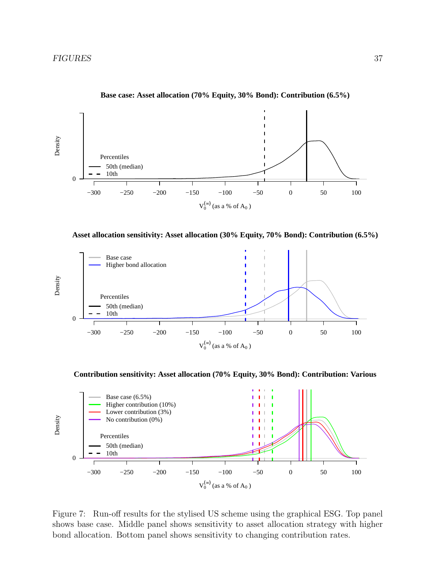

**Base case: Asset allocation (70% Equity, 30% Bond): Contribution (6.5%)**

**Asset allocation sensitivity: Asset allocation (30% Equity, 70% Bond): Contribution (6.5%)**



**Contribution sensitivity: Asset allocation (70% Equity, 30% Bond): Contribution: Various**



Figure 7: Run-off results for the stylised US scheme using the graphical ESG. Top panel shows base case. Middle panel shows sensitivity to asset allocation strategy with higher bond allocation. Bottom panel shows sensitivity to changing contribution rates.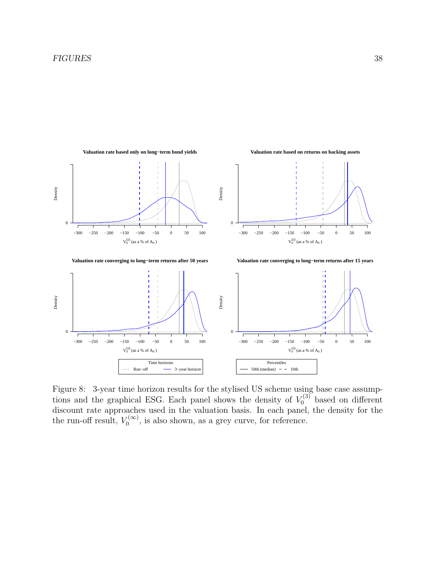

Figure 8: 3-year time horizon results for the stylised US scheme using base case assumptions and the graphical ESG. Each panel shows the density of  $V_0^{(3)}$  based on different discount rate approaches used in the valuation basis. In each panel, the density for the the run-off result,  $V_0^{(\infty)}$  $\mathcal{O}_0^{(\infty)}$ , is also shown, as a grey curve, for reference.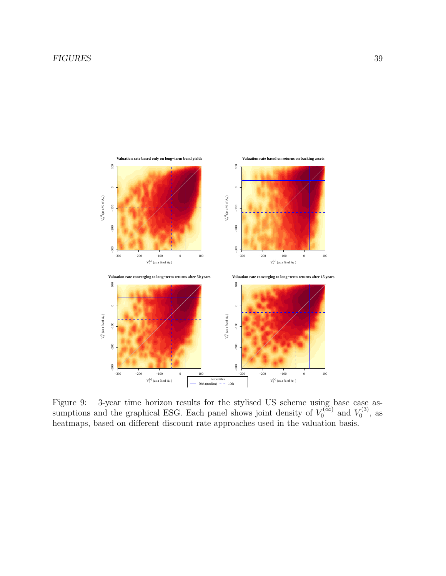#### FIGURES 39



Figure 9: 3-year time horizon results for the stylised US scheme using base case assumptions and the graphical ESG. Each panel shows joint density of  $V_0^{(\infty)}$  $V_0^{(\infty)}$  and  $V_0^{(3)}$  $_0^{\prime(3)}$ , as heatmaps, based on different discount rate approaches used in the valuation basis.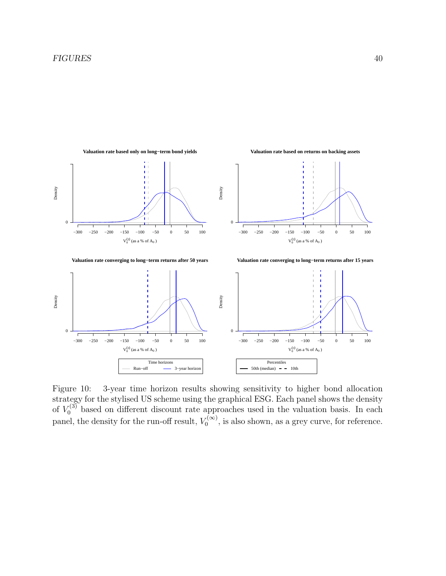

Figure 10: 3-year time horizon results showing sensitivity to higher bond allocation strategy for the stylised US scheme using the graphical ESG. Each panel shows the density of  $V_0^{(3)}$  based on different discount rate approaches used in the valuation basis. In each panel, the density for the run-off result,  $V_0^{(\infty)}$  $\mathcal{O}_0^{(\infty)}$ , is also shown, as a grey curve, for reference.